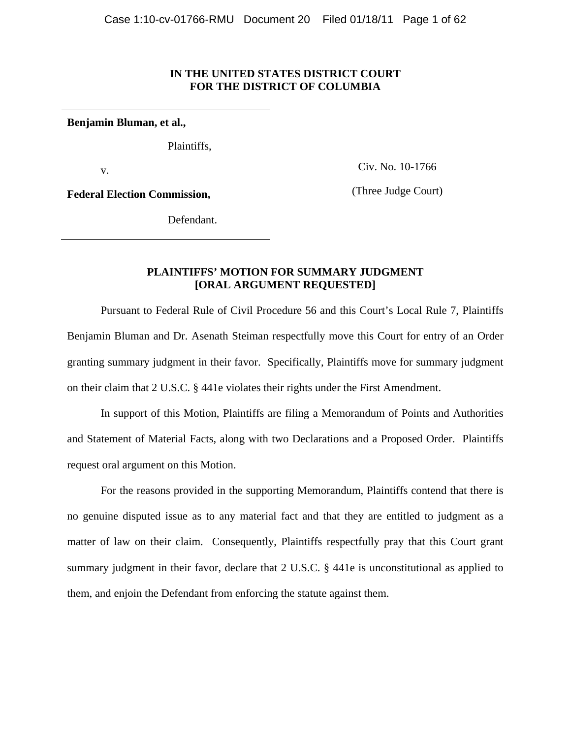### **IN THE UNITED STATES DISTRICT COURT FOR THE DISTRICT OF COLUMBIA**

**Benjamin Bluman, et al.,**

Plaintiffs,

v.

Civ. No. 10-1766

**Federal Election Commission,** 

(Three Judge Court)

Defendant.

# **PLAINTIFFS' MOTION FOR SUMMARY JUDGMENT [ORAL ARGUMENT REQUESTED]**

 Pursuant to Federal Rule of Civil Procedure 56 and this Court's Local Rule 7, Plaintiffs Benjamin Bluman and Dr. Asenath Steiman respectfully move this Court for entry of an Order granting summary judgment in their favor. Specifically, Plaintiffs move for summary judgment on their claim that 2 U.S.C. § 441e violates their rights under the First Amendment.

 In support of this Motion, Plaintiffs are filing a Memorandum of Points and Authorities and Statement of Material Facts, along with two Declarations and a Proposed Order. Plaintiffs request oral argument on this Motion.

 For the reasons provided in the supporting Memorandum, Plaintiffs contend that there is no genuine disputed issue as to any material fact and that they are entitled to judgment as a matter of law on their claim. Consequently, Plaintiffs respectfully pray that this Court grant summary judgment in their favor, declare that 2 U.S.C. § 441e is unconstitutional as applied to them, and enjoin the Defendant from enforcing the statute against them.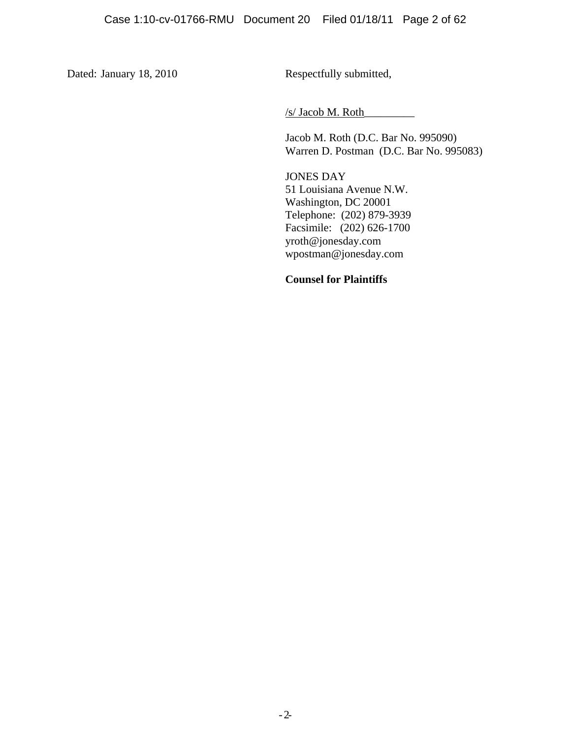Dated: January 18, 2010 Respectfully submitted,

/s/ Jacob M. Roth\_\_\_\_\_\_\_\_\_

Jacob M. Roth (D.C. Bar No. 995090) Warren D. Postman (D.C. Bar No. 995083)

JONES DAY 51 Louisiana Avenue N.W. Washington, DC 20001 Telephone: (202) 879-3939 Facsimile: (202) 626-1700 yroth@jonesday.com wpostman@jonesday.com

# **Counsel for Plaintiffs**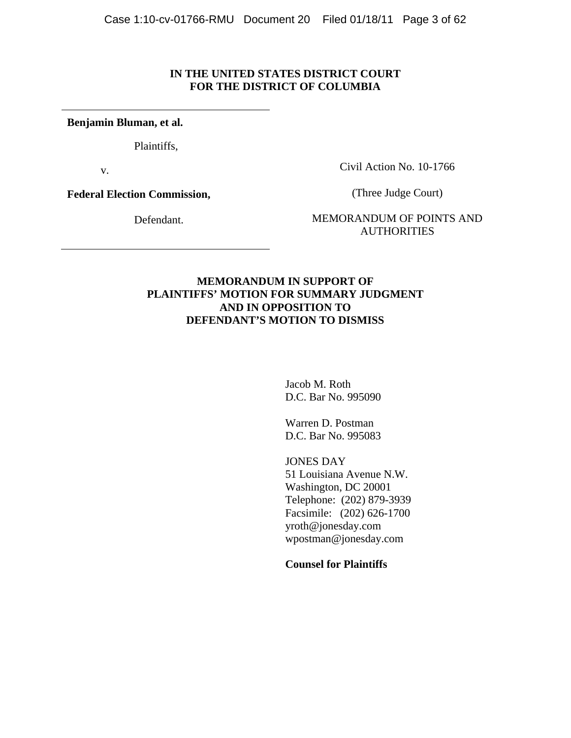# **IN THE UNITED STATES DISTRICT COURT FOR THE DISTRICT OF COLUMBIA**

**Benjamin Bluman, et al.**

Plaintiffs,

v.

Civil Action No. 10-1766

**Federal Election Commission,** 

Defendant.

(Three Judge Court)

MEMORANDUM OF POINTS AND **AUTHORITIES** 

# **MEMORANDUM IN SUPPORT OF PLAINTIFFS' MOTION FOR SUMMARY JUDGMENT AND IN OPPOSITION TO DEFENDANT'S MOTION TO DISMISS**

Jacob M. Roth D.C. Bar No. 995090

Warren D. Postman D.C. Bar No. 995083

JONES DAY 51 Louisiana Avenue N.W. Washington, DC 20001 Telephone: (202) 879-3939 Facsimile: (202) 626-1700 yroth@jonesday.com wpostman@jonesday.com

**Counsel for Plaintiffs**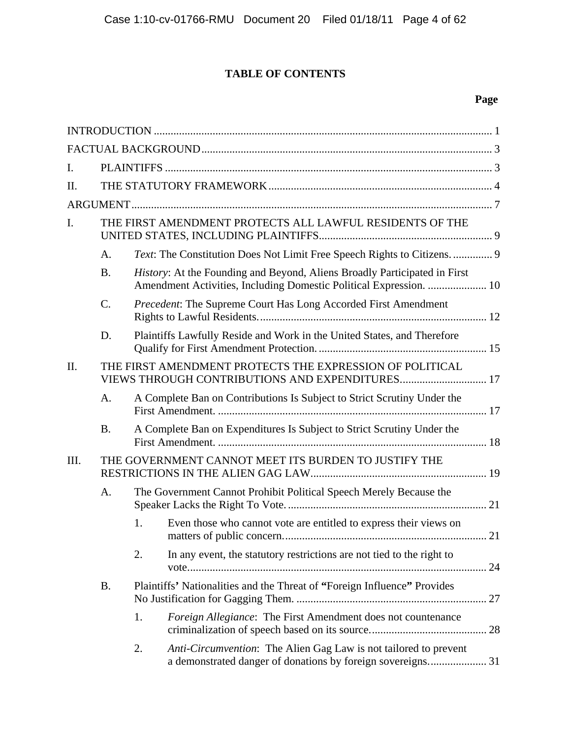# **TABLE OF CONTENTS**

# **Page**

| I.   |                                                          |                                                                                                             |                                                                                                                                                 |  |
|------|----------------------------------------------------------|-------------------------------------------------------------------------------------------------------------|-------------------------------------------------------------------------------------------------------------------------------------------------|--|
| Π.   |                                                          |                                                                                                             |                                                                                                                                                 |  |
|      |                                                          |                                                                                                             |                                                                                                                                                 |  |
| I.   | THE FIRST AMENDMENT PROTECTS ALL LAWFUL RESIDENTS OF THE |                                                                                                             |                                                                                                                                                 |  |
|      | A.                                                       |                                                                                                             | Text: The Constitution Does Not Limit Free Speech Rights to Citizens.  9                                                                        |  |
|      | <b>B.</b>                                                |                                                                                                             | History: At the Founding and Beyond, Aliens Broadly Participated in First<br>Amendment Activities, Including Domestic Political Expression.  10 |  |
|      | $\mathcal{C}$ .                                          |                                                                                                             | Precedent: The Supreme Court Has Long Accorded First Amendment                                                                                  |  |
|      | D.                                                       |                                                                                                             | Plaintiffs Lawfully Reside and Work in the United States, and Therefore                                                                         |  |
| Π.   |                                                          | THE FIRST AMENDMENT PROTECTS THE EXPRESSION OF POLITICAL<br>VIEWS THROUGH CONTRIBUTIONS AND EXPENDITURES 17 |                                                                                                                                                 |  |
|      | A.                                                       |                                                                                                             | A Complete Ban on Contributions Is Subject to Strict Scrutiny Under the                                                                         |  |
|      | <b>B.</b>                                                |                                                                                                             | A Complete Ban on Expenditures Is Subject to Strict Scrutiny Under the                                                                          |  |
| III. |                                                          |                                                                                                             | THE GOVERNMENT CANNOT MEET ITS BURDEN TO JUSTIFY THE                                                                                            |  |
|      | A.                                                       |                                                                                                             | The Government Cannot Prohibit Political Speech Merely Because the                                                                              |  |
|      |                                                          | 1.                                                                                                          | Even those who cannot vote are entitled to express their views on                                                                               |  |
|      |                                                          | 2.                                                                                                          | In any event, the statutory restrictions are not tied to the right to                                                                           |  |
|      | <b>B.</b>                                                | Plaintiffs' Nationalities and the Threat of "Foreign Influence" Provides                                    |                                                                                                                                                 |  |
|      |                                                          | 1.                                                                                                          | Foreign Allegiance: The First Amendment does not countenance                                                                                    |  |
|      |                                                          | 2.                                                                                                          | Anti-Circumvention: The Alien Gag Law is not tailored to prevent                                                                                |  |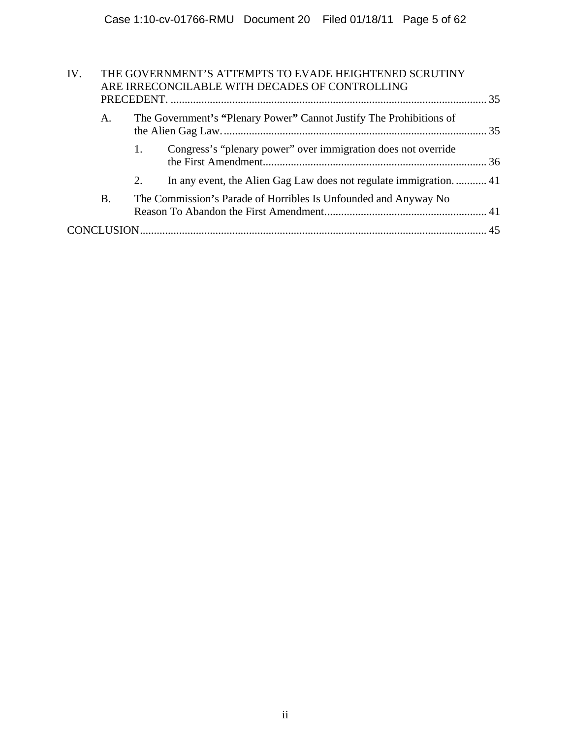| ARE IRRECONCILABLE WITH DECADES OF CONTROLLING                            |  |
|---------------------------------------------------------------------------|--|
|                                                                           |  |
| The Government's "Plenary Power" Cannot Justify The Prohibitions of<br>A. |  |
| Congress's "plenary power" over immigration does not override<br>1.       |  |
| In any event, the Alien Gag Law does not regulate immigration 41<br>2.    |  |
| Β.<br>The Commission's Parade of Horribles Is Unfounded and Anyway No     |  |
|                                                                           |  |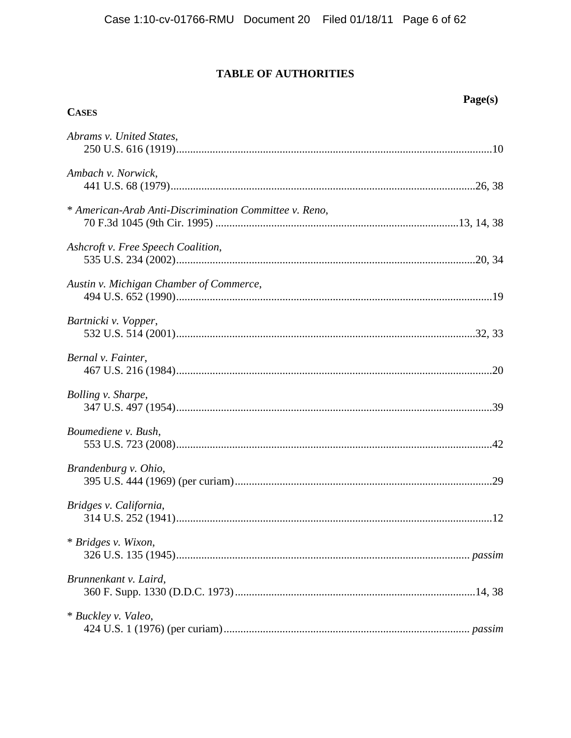# **TABLE OF AUTHORITIES**

Page(s)

| <b>CASES</b>                                           |
|--------------------------------------------------------|
| Abrams v. United States,                               |
| Ambach v. Norwick,                                     |
| * American-Arab Anti-Discrimination Committee v. Reno, |
| Ashcroft v. Free Speech Coalition,                     |
| Austin v. Michigan Chamber of Commerce,                |
| Bartnicki v. Vopper,                                   |
| Bernal v. Fainter,                                     |
| Bolling v. Sharpe,                                     |
| Boumediene v. Bush,                                    |
| Brandenburg v. Ohio,                                   |
| Bridges v. California,                                 |
| * Bridges v. Wixon,                                    |
| Brunnenkant v. Laird,                                  |
| * Buckley v. Valeo,                                    |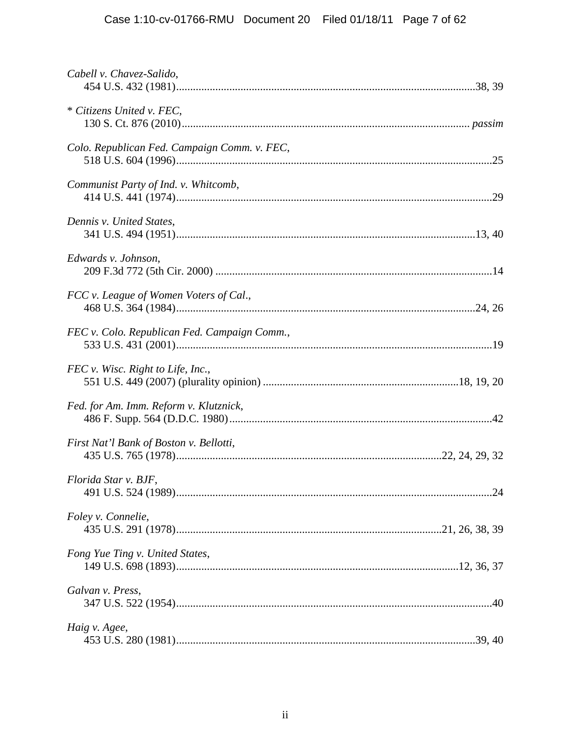| Cabell v. Chavez-Salido,                     |  |
|----------------------------------------------|--|
| * Citizens United v. FEC,                    |  |
| Colo. Republican Fed. Campaign Comm. v. FEC, |  |
| Communist Party of Ind. v. Whitcomb,         |  |
| Dennis v. United States,                     |  |
| Edwards v. Johnson,                          |  |
| FCC v. League of Women Voters of Cal.,       |  |
| FEC v. Colo. Republican Fed. Campaign Comm., |  |
| FEC v. Wisc. Right to Life, Inc.,            |  |
| Fed. for Am. Imm. Reform v. Klutznick,       |  |
| First Nat'l Bank of Boston v. Bellotti,      |  |
| Florida Star v. BJF,                         |  |
| Foley v. Connelie,                           |  |
| Fong Yue Ting v. United States,              |  |
| Galvan v. Press,                             |  |
| Haig v. Agee,                                |  |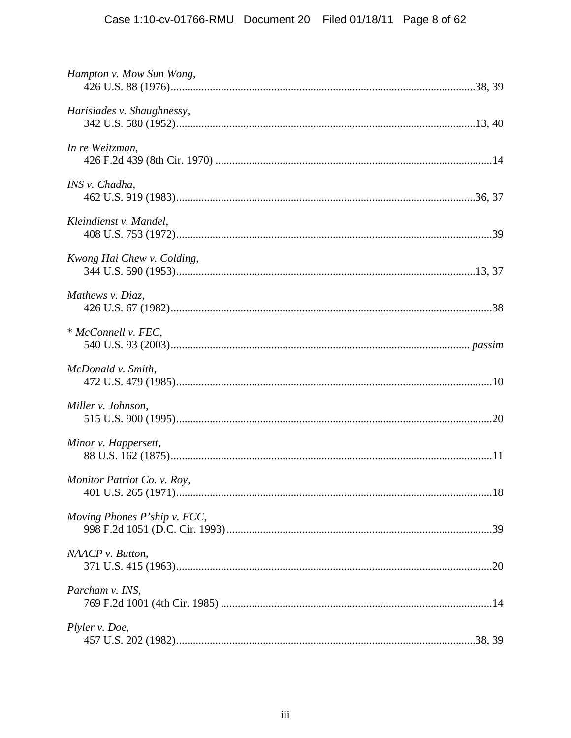| Hampton v. Mow Sun Wong,     |
|------------------------------|
| Harisiades v. Shaughnessy,   |
| In re Weitzman,              |
| INS v. Chadha,               |
| Kleindienst v. Mandel,       |
| Kwong Hai Chew v. Colding,   |
| Mathews v. Diaz,             |
| * McConnell v. FEC.          |
| McDonald v. Smith,           |
| Miller v. Johnson,           |
| Minor v. Happersett,         |
| Monitor Patriot Co. v. Roy,  |
| Moving Phones P'ship v. FCC, |
| NAACP v. Button,             |
| Parcham v. INS,              |
| Plyler v. Doe,               |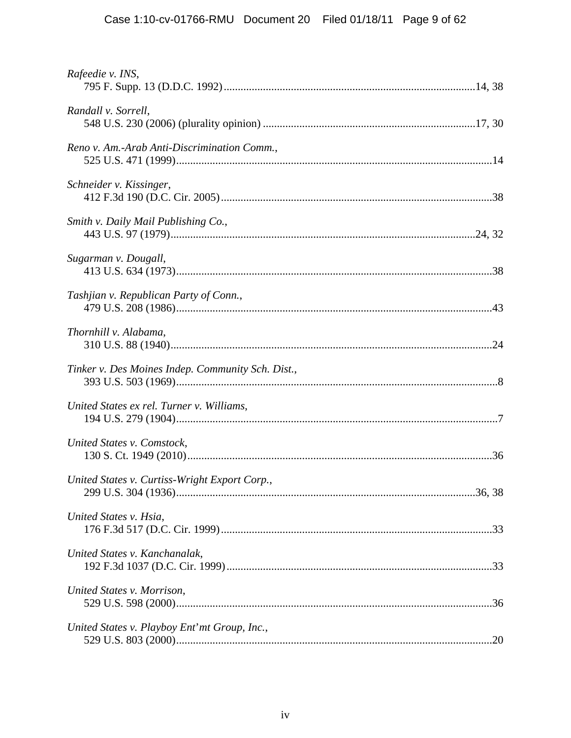| Rafeedie v. INS,                                  |  |
|---------------------------------------------------|--|
| Randall v. Sorrell,                               |  |
| Reno v. Am.-Arab Anti-Discrimination Comm.,       |  |
| Schneider v. Kissinger,                           |  |
| Smith v. Daily Mail Publishing Co.,               |  |
| Sugarman v. Dougall,                              |  |
| Tashjian v. Republican Party of Conn.,            |  |
| Thornhill v. Alabama,                             |  |
| Tinker v. Des Moines Indep. Community Sch. Dist., |  |
| United States ex rel. Turner v. Williams,         |  |
| United States v. Comstock,                        |  |
| United States v. Curtiss-Wright Export Corp.,     |  |
| United States v. Hsia,                            |  |
| United States v. Kanchanalak,                     |  |
| United States v. Morrison,                        |  |
| United States v. Playboy Ent' mt Group, Inc.,     |  |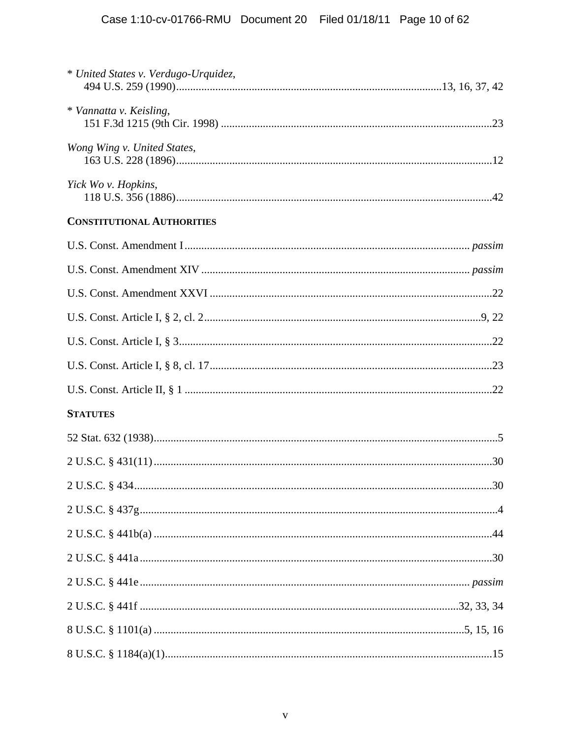| * United States v. Verdugo-Urquidez, |  |
|--------------------------------------|--|
| * Vannatta v. Keisling,              |  |
| Wong Wing v. United States,          |  |
| Yick Wo v. Hopkins,                  |  |
| <b>CONSTITUTIONAL AUTHORITIES</b>    |  |
|                                      |  |
|                                      |  |
|                                      |  |
|                                      |  |
|                                      |  |
|                                      |  |
|                                      |  |
| <b>STATUTES</b>                      |  |
|                                      |  |
|                                      |  |
|                                      |  |
|                                      |  |
|                                      |  |
|                                      |  |
|                                      |  |
|                                      |  |
|                                      |  |
|                                      |  |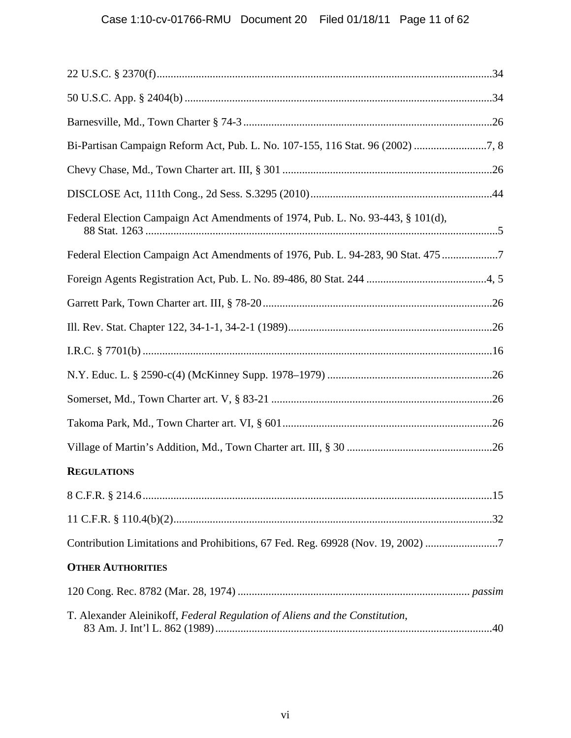| Bi-Partisan Campaign Reform Act, Pub. L. No. 107-155, 116 Stat. 96 (2002) 7, 8  |  |
|---------------------------------------------------------------------------------|--|
|                                                                                 |  |
|                                                                                 |  |
| Federal Election Campaign Act Amendments of 1974, Pub. L. No. 93-443, § 101(d), |  |
| Federal Election Campaign Act Amendments of 1976, Pub. L. 94-283, 90 Stat. 475  |  |
|                                                                                 |  |
|                                                                                 |  |
|                                                                                 |  |
|                                                                                 |  |
|                                                                                 |  |
|                                                                                 |  |
|                                                                                 |  |
|                                                                                 |  |
| <b>REGULATIONS</b>                                                              |  |
|                                                                                 |  |
|                                                                                 |  |
| Contribution Limitations and Prohibitions, 67 Fed. Reg. 69928 (Nov. 19, 2002)   |  |
| <b>OTHER AUTHORITIES</b>                                                        |  |
|                                                                                 |  |
| T. Alexander Aleinikoff, Federal Regulation of Aliens and the Constitution,     |  |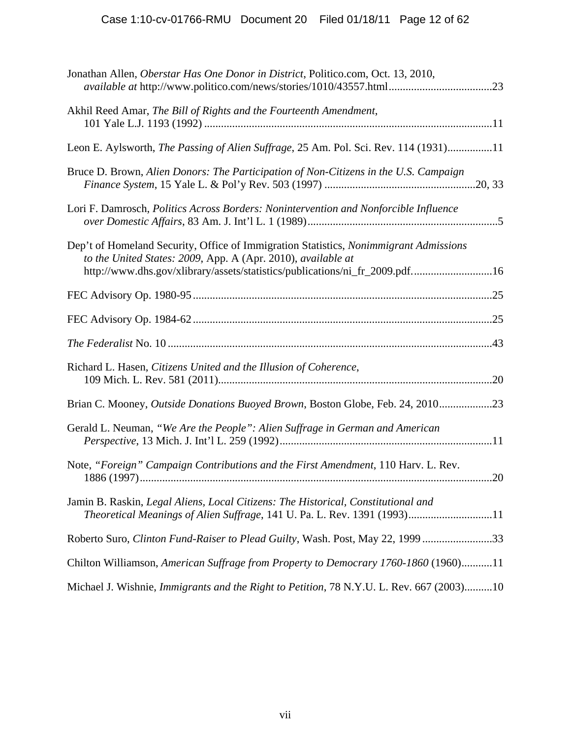| Jonathan Allen, Oberstar Has One Donor in District, Politico.com, Oct. 13, 2010,                                                                                                                                                     |
|--------------------------------------------------------------------------------------------------------------------------------------------------------------------------------------------------------------------------------------|
| Akhil Reed Amar, The Bill of Rights and the Fourteenth Amendment,                                                                                                                                                                    |
| Leon E. Aylsworth, The Passing of Alien Suffrage, 25 Am. Pol. Sci. Rev. 114 (1931)11                                                                                                                                                 |
| Bruce D. Brown, Alien Donors: The Participation of Non-Citizens in the U.S. Campaign                                                                                                                                                 |
| Lori F. Damrosch, Politics Across Borders: Nonintervention and Nonforcible Influence                                                                                                                                                 |
| Dep't of Homeland Security, Office of Immigration Statistics, Nonimmigrant Admissions<br>to the United States: 2009, App. A (Apr. 2010), available at<br>http://www.dhs.gov/xlibrary/assets/statistics/publications/ni_fr_2009.pdf16 |
|                                                                                                                                                                                                                                      |
|                                                                                                                                                                                                                                      |
|                                                                                                                                                                                                                                      |
| Richard L. Hasen, Citizens United and the Illusion of Coherence,                                                                                                                                                                     |
| Brian C. Mooney, Outside Donations Buoyed Brown, Boston Globe, Feb. 24, 201023                                                                                                                                                       |
| Gerald L. Neuman, "We Are the People": Alien Suffrage in German and American                                                                                                                                                         |
| Note, "Foreign" Campaign Contributions and the First Amendment, 110 Harv. L. Rev.                                                                                                                                                    |
| Jamin B. Raskin, Legal Aliens, Local Citizens: The Historical, Constitutional and<br>Theoretical Meanings of Alien Suffrage, 141 U. Pa. L. Rev. 1391 (1993)11                                                                        |
| Roberto Suro, Clinton Fund-Raiser to Plead Guilty, Wash. Post, May 22, 1999 33                                                                                                                                                       |
| Chilton Williamson, American Suffrage from Property to Democrary 1760-1860 (1960)11                                                                                                                                                  |
| Michael J. Wishnie, <i>Immigrants and the Right to Petition</i> , 78 N.Y.U. L. Rev. 667 (2003)10                                                                                                                                     |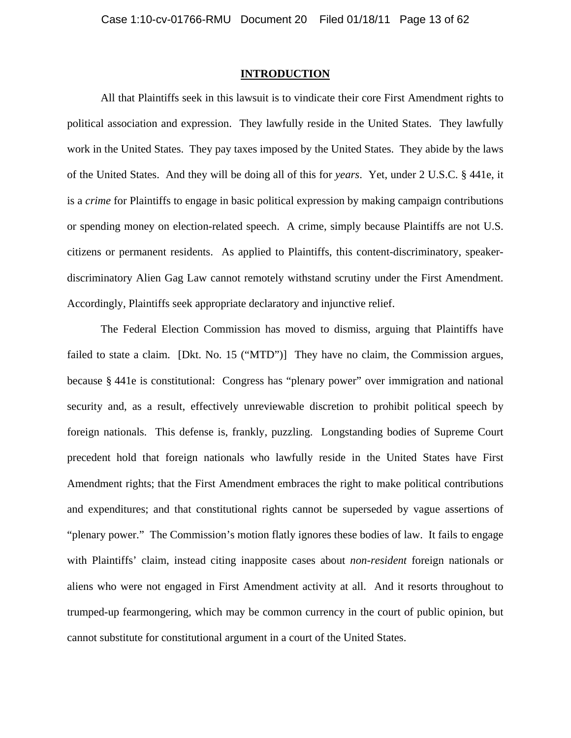#### **INTRODUCTION**

 All that Plaintiffs seek in this lawsuit is to vindicate their core First Amendment rights to political association and expression. They lawfully reside in the United States. They lawfully work in the United States. They pay taxes imposed by the United States. They abide by the laws of the United States. And they will be doing all of this for *years*. Yet, under 2 U.S.C. § 441e, it is a *crime* for Plaintiffs to engage in basic political expression by making campaign contributions or spending money on election-related speech. A crime, simply because Plaintiffs are not U.S. citizens or permanent residents. As applied to Plaintiffs, this content-discriminatory, speakerdiscriminatory Alien Gag Law cannot remotely withstand scrutiny under the First Amendment. Accordingly, Plaintiffs seek appropriate declaratory and injunctive relief.

 The Federal Election Commission has moved to dismiss, arguing that Plaintiffs have failed to state a claim. [Dkt. No. 15 ("MTD")] They have no claim, the Commission argues, because § 441e is constitutional: Congress has "plenary power" over immigration and national security and, as a result, effectively unreviewable discretion to prohibit political speech by foreign nationals. This defense is, frankly, puzzling. Longstanding bodies of Supreme Court precedent hold that foreign nationals who lawfully reside in the United States have First Amendment rights; that the First Amendment embraces the right to make political contributions and expenditures; and that constitutional rights cannot be superseded by vague assertions of "plenary power." The Commission's motion flatly ignores these bodies of law. It fails to engage with Plaintiffs' claim, instead citing inapposite cases about *non-resident* foreign nationals or aliens who were not engaged in First Amendment activity at all. And it resorts throughout to trumped-up fearmongering, which may be common currency in the court of public opinion, but cannot substitute for constitutional argument in a court of the United States.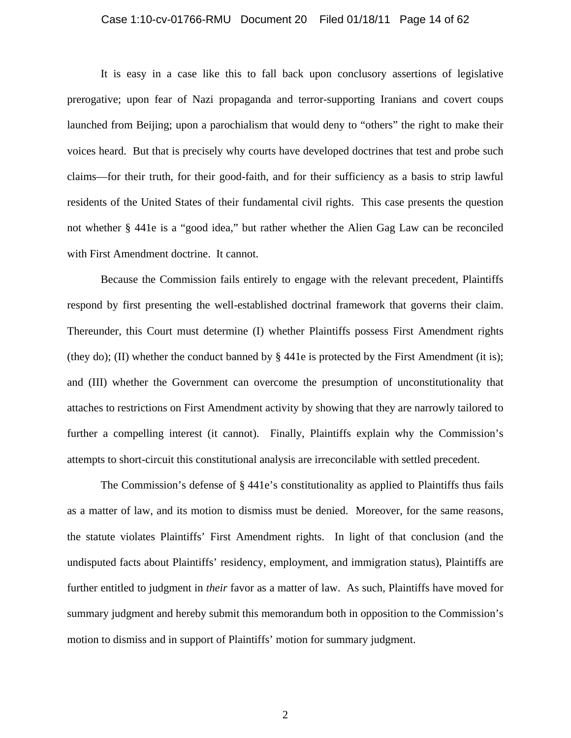#### Case 1:10-cv-01766-RMU Document 20 Filed 01/18/11 Page 14 of 62

 It is easy in a case like this to fall back upon conclusory assertions of legislative prerogative; upon fear of Nazi propaganda and terror-supporting Iranians and covert coups launched from Beijing; upon a parochialism that would deny to "others" the right to make their voices heard. But that is precisely why courts have developed doctrines that test and probe such claims—for their truth, for their good-faith, and for their sufficiency as a basis to strip lawful residents of the United States of their fundamental civil rights. This case presents the question not whether § 441e is a "good idea," but rather whether the Alien Gag Law can be reconciled with First Amendment doctrine. It cannot.

 Because the Commission fails entirely to engage with the relevant precedent, Plaintiffs respond by first presenting the well-established doctrinal framework that governs their claim. Thereunder, this Court must determine (I) whether Plaintiffs possess First Amendment rights (they do); (II) whether the conduct banned by  $\S$  441e is protected by the First Amendment (it is); and (III) whether the Government can overcome the presumption of unconstitutionality that attaches to restrictions on First Amendment activity by showing that they are narrowly tailored to further a compelling interest (it cannot). Finally, Plaintiffs explain why the Commission's attempts to short-circuit this constitutional analysis are irreconcilable with settled precedent.

The Commission's defense of §441e's constitutionality as applied to Plaintiffs thus fails as a matter of law, and its motion to dismiss must be denied. Moreover, for the same reasons, the statute violates Plaintiffs' First Amendment rights. In light of that conclusion (and the undisputed facts about Plaintiffs' residency, employment, and immigration status), Plaintiffs are further entitled to judgment in *their* favor as a matter of law. As such, Plaintiffs have moved for summary judgment and hereby submit this memorandum both in opposition to the Commission's motion to dismiss and in support of Plaintiffs' motion for summary judgment.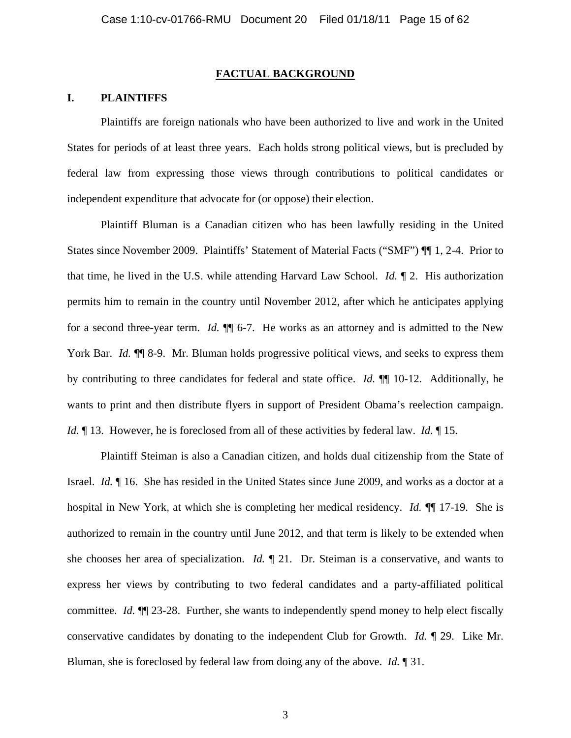#### **FACTUAL BACKGROUND**

### **I. PLAINTIFFS**

 Plaintiffs are foreign nationals who have been authorized to live and work in the United States for periods of at least three years. Each holds strong political views, but is precluded by federal law from expressing those views through contributions to political candidates or independent expenditure that advocate for (or oppose) their election.

 Plaintiff Bluman is a Canadian citizen who has been lawfully residing in the United States since November 2009. Plaintiffs' Statement of Material Facts ("SMF") ¶¶ 1, 2-4. Prior to that time, he lived in the U.S. while attending Harvard Law School. *Id.* ¶ 2. His authorization permits him to remain in the country until November 2012, after which he anticipates applying for a second three-year term. *Id.* ¶¶ 6-7. He works as an attorney and is admitted to the New York Bar. *Id.* **¶** 8-9. Mr. Bluman holds progressive political views, and seeks to express them by contributing to three candidates for federal and state office. *Id.* ¶¶ 10-12. Additionally, he wants to print and then distribute flyers in support of President Obama's reelection campaign. *Id.*  $\parallel$  13. However, he is foreclosed from all of these activities by federal law. *Id.*  $\parallel$  15.

 Plaintiff Steiman is also a Canadian citizen, and holds dual citizenship from the State of Israel. *Id.* ¶ 16. She has resided in the United States since June 2009, and works as a doctor at a hospital in New York, at which she is completing her medical residency. *Id.* ¶¶ 17-19. She is authorized to remain in the country until June 2012, and that term is likely to be extended when she chooses her area of specialization. *Id.* ¶ 21. Dr. Steiman is a conservative, and wants to express her views by contributing to two federal candidates and a party-affiliated political committee. *Id.* ¶¶ 23-28. Further, she wants to independently spend money to help elect fiscally conservative candidates by donating to the independent Club for Growth. *Id.* ¶ 29. Like Mr. Bluman, she is foreclosed by federal law from doing any of the above. *Id.* ¶ 31.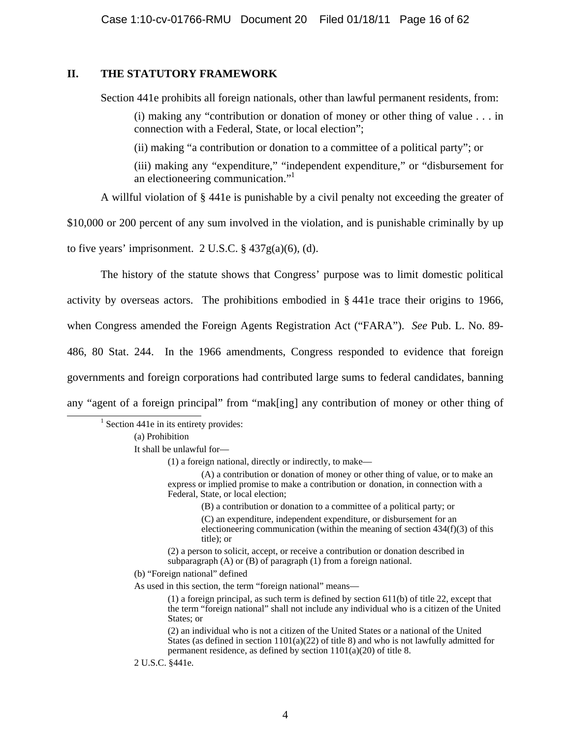# **II. THE STATUTORY FRAMEWORK**

Section 441e prohibits all foreign nationals, other than lawful permanent residents, from:

(i) making any "contribution or donation of money or other thing of value . . . in connection with a Federal, State, or local election";

(ii) making "a contribution or donation to a committee of a political party"; or

(iii) making any "expenditure," "independent expenditure," or "disbursement for an electioneering communication."<sup>1</sup>

A willful violation of § 441e is punishable by a civil penalty not exceeding the greater of

\$10,000 or 200 percent of any sum involved in the violation, and is punishable criminally by up

to five years' imprisonment.  $2 \text{ U.S.C.} \$   $437 \text{ g(a)}(6)$ , (d).

The history of the statute shows that Congress' purpose was to limit domestic political activity by overseas actors. The prohibitions embodied in § 441e trace their origins to 1966, when Congress amended the Foreign Agents Registration Act ("FARA"). *See* Pub. L. No. 89- 486, 80 Stat. 244. In the 1966 amendments, Congress responded to evidence that foreign governments and foreign corporations had contributed large sums to federal candidates, banning any "agent of a foreign principal" from "mak[ing] any contribution of money or other thing of

 $<sup>1</sup>$  Section 441e in its entirety provides:</sup>

(a) Prohibition

<u>1</u>

It shall be unlawful for—

(1) a foreign national, directly or indirectly, to make—

 (A) a contribution or donation of money or other thing of value, or to make an express or implied promise to make a contribution or donation, in connection with a Federal, State, or local election;

(B) a contribution or donation to a committee of a political party; or

 (C) an expenditure, independent expenditure, or disbursement for an electioneering communication (within the meaning of section  $434(f)(3)$  of this title); or

 (2) a person to solicit, accept, or receive a contribution or donation described in subparagraph (A) or (B) of paragraph (1) from a foreign national.

(b) "Foreign national" defined

As used in this section, the term "foreign national" means—

 (1) a foreign principal, as such term is defined by section 611(b) of title 22, except that the term "foreign national" shall not include any individual who is a citizen of the United States; or

 (2) an individual who is not a citizen of the United States or a national of the United States (as defined in section  $1101(a)(22)$  of title 8) and who is not lawfully admitted for permanent residence, as defined by section 1101(a)(20) of title 8.

2 U.S.C. §441e.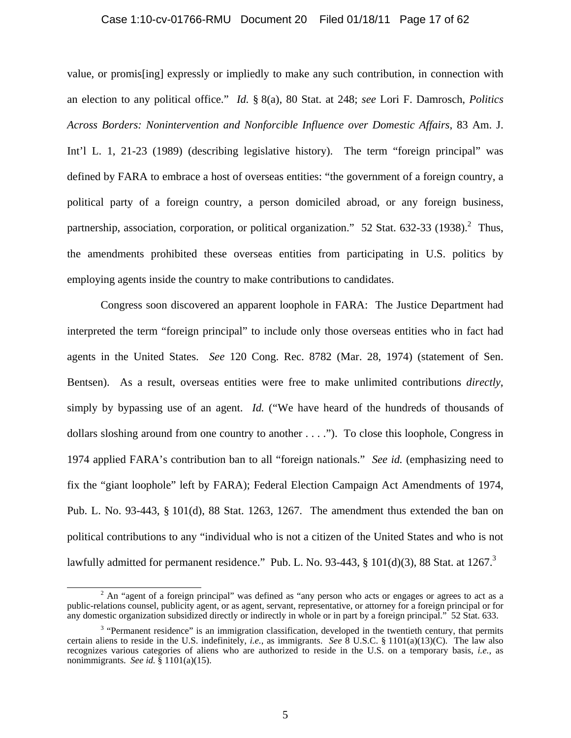#### Case 1:10-cv-01766-RMU Document 20 Filed 01/18/11 Page 17 of 62

value, or promis[ing] expressly or impliedly to make any such contribution, in connection with an election to any political office." *Id.* § 8(a), 80 Stat. at 248; *see* Lori F. Damrosch, *Politics Across Borders: Nonintervention and Nonforcible Influence over Domestic Affairs*, 83 Am. J. Int'l L. 1, 21-23 (1989) (describing legislative history). The term "foreign principal" was defined by FARA to embrace a host of overseas entities: "the government of a foreign country, a political party of a foreign country, a person domiciled abroad, or any foreign business, partnership, association, corporation, or political organization."  $52$  Stat. 632-33 (1938).<sup>2</sup> Thus, the amendments prohibited these overseas entities from participating in U.S. politics by employing agents inside the country to make contributions to candidates.

Congress soon discovered an apparent loophole in FARA: The Justice Department had interpreted the term "foreign principal" to include only those overseas entities who in fact had agents in the United States. *See* 120 Cong. Rec. 8782 (Mar. 28, 1974) (statement of Sen. Bentsen). As a result, overseas entities were free to make unlimited contributions *directly*, simply by bypassing use of an agent. *Id.* ("We have heard of the hundreds of thousands of dollars sloshing around from one country to another . . . ."). To close this loophole, Congress in 1974 applied FARA's contribution ban to all "foreign nationals." *See id.* (emphasizing need to fix the "giant loophole" left by FARA); Federal Election Campaign Act Amendments of 1974, Pub. L. No. 93-443, § 101(d), 88 Stat. 1263, 1267. The amendment thus extended the ban on political contributions to any "individual who is not a citizen of the United States and who is not lawfully admitted for permanent residence." Pub. L. No. 93-443,  $\S$  101(d)(3), 88 Stat. at 1267.<sup>3</sup>

 $\frac{1}{2}$  $2$  An "agent of a foreign principal" was defined as "any person who acts or engages or agrees to act as a public-relations counsel, publicity agent, or as agent, servant, representative, or attorney for a foreign principal or for any domestic organization subsidized directly or indirectly in whole or in part by a foreign principal." 52 Stat. 633.

 $3$  "Permanent residence" is an immigration classification, developed in the twentieth century, that permits certain aliens to reside in the U.S. indefinitely, *i.e.*, as immigrants. *See* 8 U.S.C. § 1101(a)(13)(C). The law also recognizes various categories of aliens who are authorized to reside in the U.S. on a temporary basis, *i.e.*, as nonimmigrants. *See id.* § 1101(a)(15).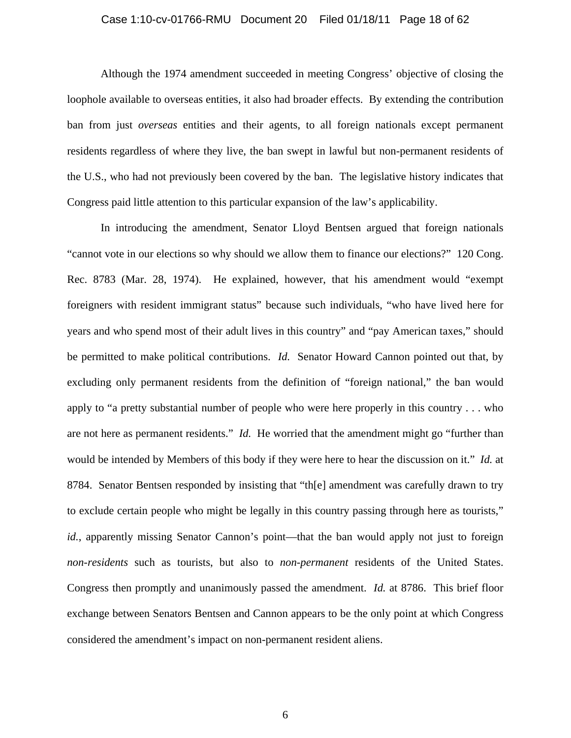#### Case 1:10-cv-01766-RMU Document 20 Filed 01/18/11 Page 18 of 62

Although the 1974 amendment succeeded in meeting Congress' objective of closing the loophole available to overseas entities, it also had broader effects. By extending the contribution ban from just *overseas* entities and their agents, to all foreign nationals except permanent residents regardless of where they live, the ban swept in lawful but non-permanent residents of the U.S., who had not previously been covered by the ban. The legislative history indicates that Congress paid little attention to this particular expansion of the law's applicability.

 In introducing the amendment, Senator Lloyd Bentsen argued that foreign nationals "cannot vote in our elections so why should we allow them to finance our elections?" 120 Cong. Rec. 8783 (Mar. 28, 1974). He explained, however, that his amendment would "exempt foreigners with resident immigrant status" because such individuals, "who have lived here for years and who spend most of their adult lives in this country" and "pay American taxes," should be permitted to make political contributions. *Id.* Senator Howard Cannon pointed out that, by excluding only permanent residents from the definition of "foreign national," the ban would apply to "a pretty substantial number of people who were here properly in this country . . . who are not here as permanent residents." *Id.* He worried that the amendment might go "further than would be intended by Members of this body if they were here to hear the discussion on it." *Id.* at 8784. Senator Bentsen responded by insisting that "th[e] amendment was carefully drawn to try to exclude certain people who might be legally in this country passing through here as tourists," *id.*, apparently missing Senator Cannon's point—that the ban would apply not just to foreign *non-residents* such as tourists, but also to *non-permanent* residents of the United States. Congress then promptly and unanimously passed the amendment. *Id.* at 8786. This brief floor exchange between Senators Bentsen and Cannon appears to be the only point at which Congress considered the amendment's impact on non-permanent resident aliens.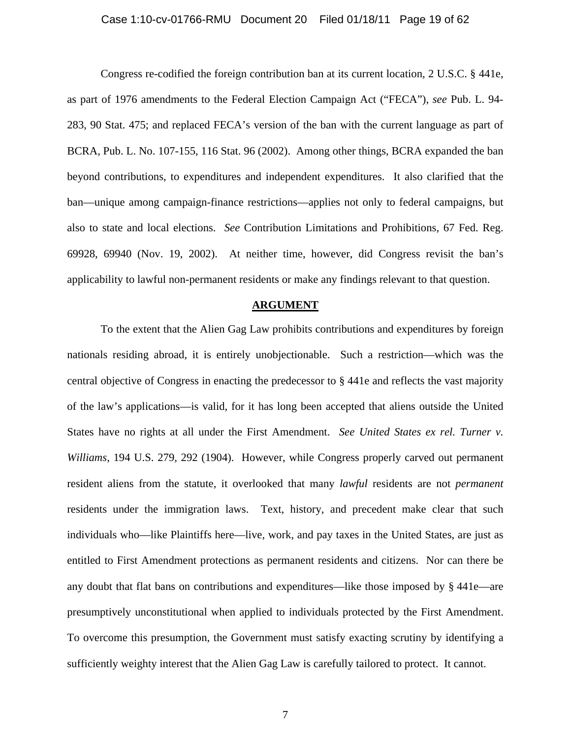#### Case 1:10-cv-01766-RMU Document 20 Filed 01/18/11 Page 19 of 62

 Congress re-codified the foreign contribution ban at its current location, 2 U.S.C. § 441e, as part of 1976 amendments to the Federal Election Campaign Act ("FECA"), *see* Pub. L. 94- 283, 90 Stat. 475; and replaced FECA's version of the ban with the current language as part of BCRA, Pub. L. No. 107-155, 116 Stat. 96 (2002). Among other things, BCRA expanded the ban beyond contributions, to expenditures and independent expenditures. It also clarified that the ban—unique among campaign-finance restrictions—applies not only to federal campaigns, but also to state and local elections. *See* Contribution Limitations and Prohibitions, 67 Fed. Reg. 69928, 69940 (Nov. 19, 2002). At neither time, however, did Congress revisit the ban's applicability to lawful non-permanent residents or make any findings relevant to that question.

#### **ARGUMENT**

To the extent that the Alien Gag Law prohibits contributions and expenditures by foreign nationals residing abroad, it is entirely unobjectionable. Such a restriction—which was the central objective of Congress in enacting the predecessor to § 441e and reflects the vast majority of the law's applications—is valid, for it has long been accepted that aliens outside the United States have no rights at all under the First Amendment. *See United States ex rel. Turner v. Williams*, 194 U.S. 279, 292 (1904). However, while Congress properly carved out permanent resident aliens from the statute, it overlooked that many *lawful* residents are not *permanent* residents under the immigration laws. Text, history, and precedent make clear that such individuals who—like Plaintiffs here—live, work, and pay taxes in the United States, are just as entitled to First Amendment protections as permanent residents and citizens. Nor can there be any doubt that flat bans on contributions and expenditures—like those imposed by § 441e—are presumptively unconstitutional when applied to individuals protected by the First Amendment. To overcome this presumption, the Government must satisfy exacting scrutiny by identifying a sufficiently weighty interest that the Alien Gag Law is carefully tailored to protect. It cannot.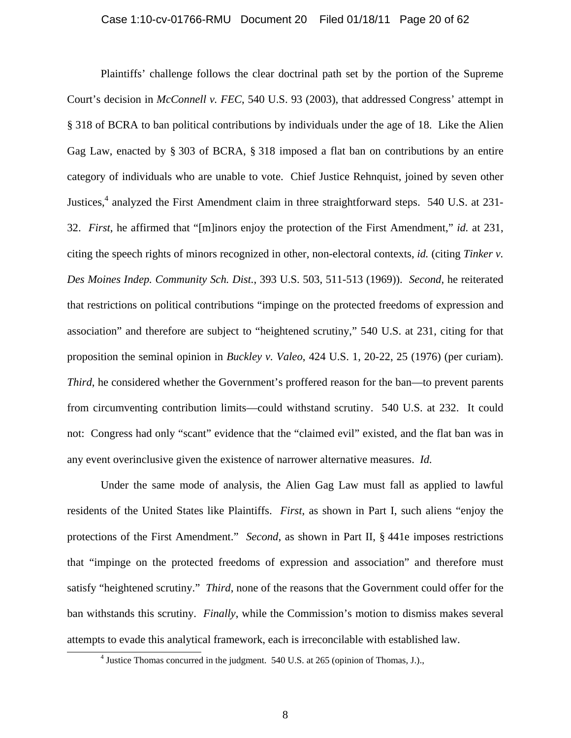#### Case 1:10-cv-01766-RMU Document 20 Filed 01/18/11 Page 20 of 62

Plaintiffs' challenge follows the clear doctrinal path set by the portion of the Supreme Court's decision in *McConnell v. FEC*, 540 U.S. 93 (2003), that addressed Congress' attempt in § 318 of BCRA to ban political contributions by individuals under the age of 18. Like the Alien Gag Law, enacted by § 303 of BCRA, § 318 imposed a flat ban on contributions by an entire category of individuals who are unable to vote. Chief Justice Rehnquist, joined by seven other Justices,<sup>4</sup> analyzed the First Amendment claim in three straightforward steps. 540 U.S. at 231-32. *First*, he affirmed that "[m]inors enjoy the protection of the First Amendment," *id.* at 231, citing the speech rights of minors recognized in other, non-electoral contexts, *id.* (citing *Tinker v. Des Moines Indep. Community Sch. Dist.*, 393 U.S. 503, 511-513 (1969)). *Second*, he reiterated that restrictions on political contributions "impinge on the protected freedoms of expression and association" and therefore are subject to "heightened scrutiny," 540 U.S. at 231, citing for that proposition the seminal opinion in *Buckley v. Valeo*, 424 U.S. 1, 20-22, 25 (1976) (per curiam). *Third*, he considered whether the Government's proffered reason for the ban—to prevent parents from circumventing contribution limits—could withstand scrutiny. 540 U.S. at 232. It could not: Congress had only "scant" evidence that the "claimed evil" existed, and the flat ban was in any event overinclusive given the existence of narrower alternative measures. *Id.*

Under the same mode of analysis, the Alien Gag Law must fall as applied to lawful residents of the United States like Plaintiffs. *First*, as shown in Part I, such aliens "enjoy the protections of the First Amendment." *Second*, as shown in Part II, § 441e imposes restrictions that "impinge on the protected freedoms of expression and association" and therefore must satisfy "heightened scrutiny." *Third*, none of the reasons that the Government could offer for the ban withstands this scrutiny. *Finally*, while the Commission's motion to dismiss makes several attempts to evade this analytical framework, each is irreconcilable with established law. 4

 $4$  Justice Thomas concurred in the judgment. 540 U.S. at 265 (opinion of Thomas, J.).,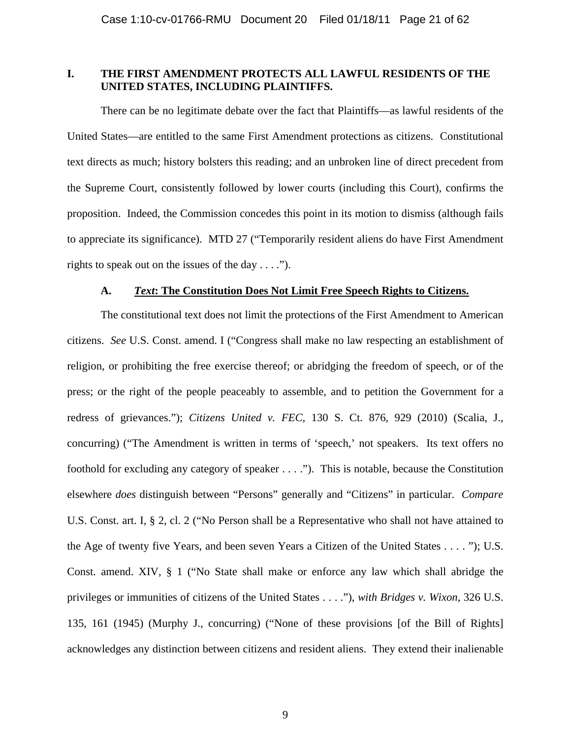# **I. THE FIRST AMENDMENT PROTECTS ALL LAWFUL RESIDENTS OF THE UNITED STATES, INCLUDING PLAINTIFFS.**

There can be no legitimate debate over the fact that Plaintiffs—as lawful residents of the United States—are entitled to the same First Amendment protections as citizens. Constitutional text directs as much; history bolsters this reading; and an unbroken line of direct precedent from the Supreme Court, consistently followed by lower courts (including this Court), confirms the proposition. Indeed, the Commission concedes this point in its motion to dismiss (although fails to appreciate its significance). MTD 27 ("Temporarily resident aliens do have First Amendment rights to speak out on the issues of the day  $\dots$ .").

#### **A.** *Text***: The Constitution Does Not Limit Free Speech Rights to Citizens.**

 The constitutional text does not limit the protections of the First Amendment to American citizens. *See* U.S. Const. amend. I ("Congress shall make no law respecting an establishment of religion, or prohibiting the free exercise thereof; or abridging the freedom of speech, or of the press; or the right of the people peaceably to assemble, and to petition the Government for a redress of grievances."); *Citizens United v. FEC*, 130 S. Ct. 876, 929 (2010) (Scalia, J., concurring) ("The Amendment is written in terms of 'speech,' not speakers. Its text offers no foothold for excluding any category of speaker . . . ."). This is notable, because the Constitution elsewhere *does* distinguish between "Persons" generally and "Citizens" in particular. *Compare*  U.S. Const. art. I, § 2, cl. 2 ("No Person shall be a Representative who shall not have attained to the Age of twenty five Years, and been seven Years a Citizen of the United States . . . . "); U.S. Const. amend. XIV, § 1 ("No State shall make or enforce any law which shall abridge the privileges or immunities of citizens of the United States . . . ."), *with Bridges v. Wixon*, 326 U.S. 135, 161 (1945) (Murphy J., concurring) ("None of these provisions [of the Bill of Rights] acknowledges any distinction between citizens and resident aliens. They extend their inalienable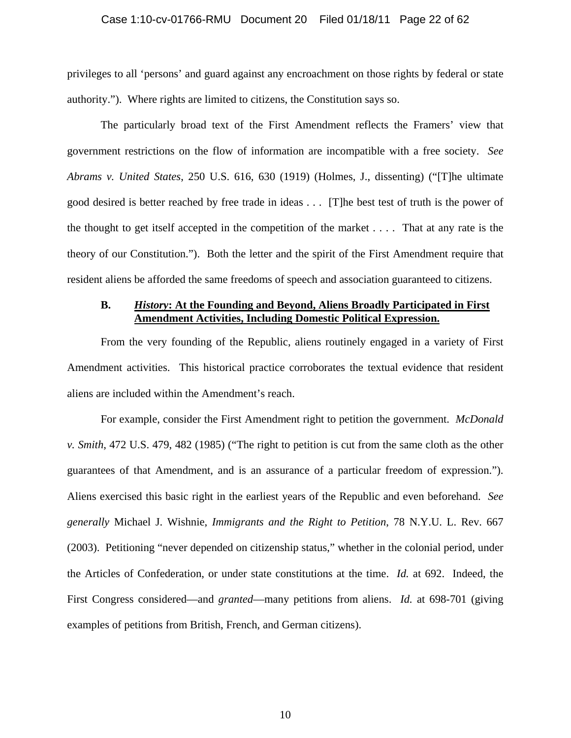#### Case 1:10-cv-01766-RMU Document 20 Filed 01/18/11 Page 22 of 62

privileges to all 'persons' and guard against any encroachment on those rights by federal or state authority."). Where rights are limited to citizens, the Constitution says so.

 The particularly broad text of the First Amendment reflects the Framers' view that government restrictions on the flow of information are incompatible with a free society. *See Abrams v. United States*, 250 U.S. 616, 630 (1919) (Holmes, J., dissenting) ("[T]he ultimate good desired is better reached by free trade in ideas . . . [T]he best test of truth is the power of the thought to get itself accepted in the competition of the market . . . . That at any rate is the theory of our Constitution."). Both the letter and the spirit of the First Amendment require that resident aliens be afforded the same freedoms of speech and association guaranteed to citizens.

### **B.** *History***: At the Founding and Beyond, Aliens Broadly Participated in First Amendment Activities, Including Domestic Political Expression.**

From the very founding of the Republic, aliens routinely engaged in a variety of First Amendment activities. This historical practice corroborates the textual evidence that resident aliens are included within the Amendment's reach.

For example, consider the First Amendment right to petition the government. *McDonald v. Smith*, 472 U.S. 479, 482 (1985) ("The right to petition is cut from the same cloth as the other guarantees of that Amendment, and is an assurance of a particular freedom of expression."). Aliens exercised this basic right in the earliest years of the Republic and even beforehand. *See generally* Michael J. Wishnie, *Immigrants and the Right to Petition*, 78 N.Y.U. L. Rev. 667 (2003). Petitioning "never depended on citizenship status," whether in the colonial period, under the Articles of Confederation, or under state constitutions at the time. *Id.* at 692. Indeed, the First Congress considered—and *granted*—many petitions from aliens. *Id.* at 698-701 (giving examples of petitions from British, French, and German citizens).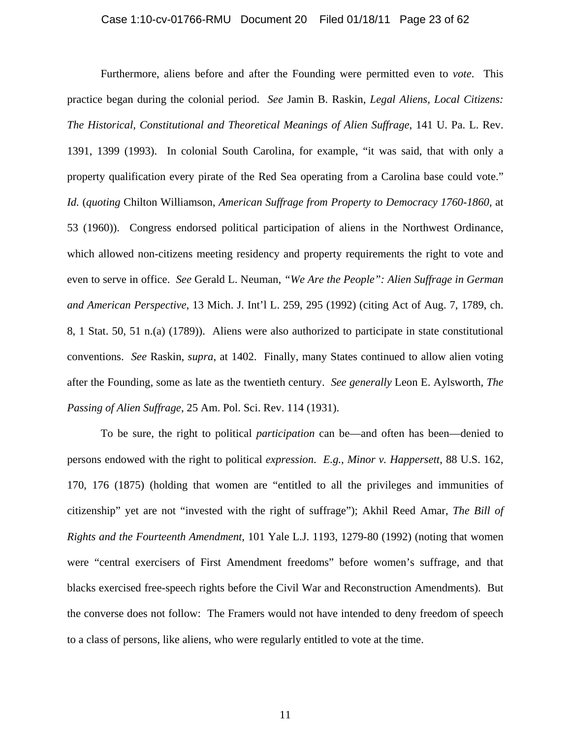#### Case 1:10-cv-01766-RMU Document 20 Filed 01/18/11 Page 23 of 62

Furthermore, aliens before and after the Founding were permitted even to *vote*. This practice began during the colonial period. *See* Jamin B. Raskin, *Legal Aliens, Local Citizens: The Historical, Constitutional and Theoretical Meanings of Alien Suffrage*, 141 U. Pa. L. Rev. 1391, 1399 (1993). In colonial South Carolina, for example, "it was said, that with only a property qualification every pirate of the Red Sea operating from a Carolina base could vote." *Id.* (*quoting* Chilton Williamson, *American Suffrage from Property to Democracy 1760-1860*, at 53 (1960)). Congress endorsed political participation of aliens in the Northwest Ordinance, which allowed non-citizens meeting residency and property requirements the right to vote and even to serve in office. *See* Gerald L. Neuman, *"We Are the People": Alien Suffrage in German and American Perspective*, 13 Mich. J. Int'l L. 259, 295 (1992) (citing Act of Aug. 7, 1789, ch. 8, 1 Stat. 50, 51 n.(a) (1789)). Aliens were also authorized to participate in state constitutional conventions. *See* Raskin, *supra*, at 1402. Finally, many States continued to allow alien voting after the Founding, some as late as the twentieth century. *See generally* Leon E. Aylsworth, *The Passing of Alien Suffrage*, 25 Am. Pol. Sci. Rev. 114 (1931).

To be sure, the right to political *participation* can be—and often has been—denied to persons endowed with the right to political *expression*. *E.g.*, *Minor v. Happersett*, 88 U.S. 162, 170, 176 (1875) (holding that women are "entitled to all the privileges and immunities of citizenship" yet are not "invested with the right of suffrage"); Akhil Reed Amar, *The Bill of Rights and the Fourteenth Amendment*, 101 Yale L.J. 1193, 1279-80 (1992) (noting that women were "central exercisers of First Amendment freedoms" before women's suffrage, and that blacks exercised free-speech rights before the Civil War and Reconstruction Amendments). But the converse does not follow: The Framers would not have intended to deny freedom of speech to a class of persons, like aliens, who were regularly entitled to vote at the time.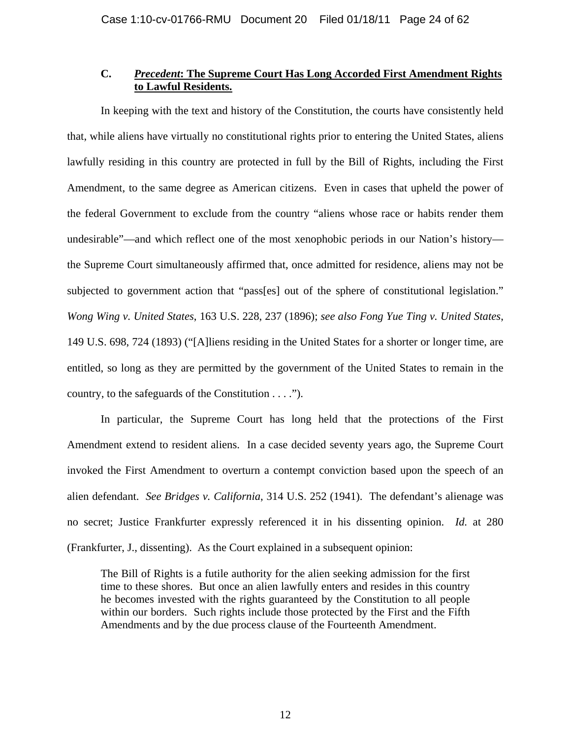# **C.** *Precedent***: The Supreme Court Has Long Accorded First Amendment Rights to Lawful Residents.**

In keeping with the text and history of the Constitution, the courts have consistently held that, while aliens have virtually no constitutional rights prior to entering the United States, aliens lawfully residing in this country are protected in full by the Bill of Rights, including the First Amendment, to the same degree as American citizens. Even in cases that upheld the power of the federal Government to exclude from the country "aliens whose race or habits render them undesirable"—and which reflect one of the most xenophobic periods in our Nation's history the Supreme Court simultaneously affirmed that, once admitted for residence, aliens may not be subjected to government action that "pass[es] out of the sphere of constitutional legislation." *Wong Wing v. United States*, 163 U.S. 228, 237 (1896); *see also Fong Yue Ting v. United States*, 149 U.S. 698, 724 (1893) ("[A]liens residing in the United States for a shorter or longer time, are entitled, so long as they are permitted by the government of the United States to remain in the country, to the safeguards of the Constitution . . . .").

In particular, the Supreme Court has long held that the protections of the First Amendment extend to resident aliens. In a case decided seventy years ago, the Supreme Court invoked the First Amendment to overturn a contempt conviction based upon the speech of an alien defendant. *See Bridges v. California*, 314 U.S. 252 (1941). The defendant's alienage was no secret; Justice Frankfurter expressly referenced it in his dissenting opinion. *Id.* at 280 (Frankfurter, J., dissenting). As the Court explained in a subsequent opinion:

The Bill of Rights is a futile authority for the alien seeking admission for the first time to these shores. But once an alien lawfully enters and resides in this country he becomes invested with the rights guaranteed by the Constitution to all people within our borders. Such rights include those protected by the First and the Fifth Amendments and by the due process clause of the Fourteenth Amendment.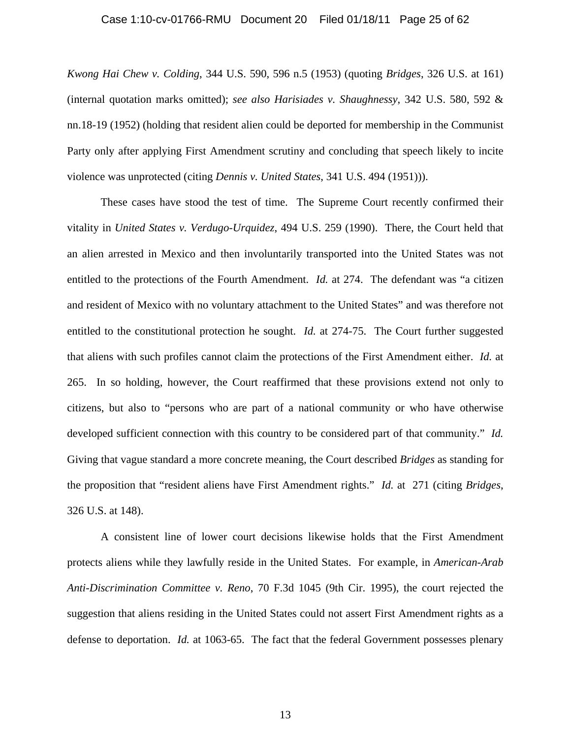#### Case 1:10-cv-01766-RMU Document 20 Filed 01/18/11 Page 25 of 62

*Kwong Hai Chew v. Colding*, 344 U.S. 590, 596 n.5 (1953) (quoting *Bridges*, 326 U.S. at 161) (internal quotation marks omitted); *see also Harisiades v. Shaughnessy*, 342 U.S. 580, 592 & nn.18-19 (1952) (holding that resident alien could be deported for membership in the Communist Party only after applying First Amendment scrutiny and concluding that speech likely to incite violence was unprotected (citing *Dennis v. United States*, 341 U.S. 494 (1951))).

These cases have stood the test of time. The Supreme Court recently confirmed their vitality in *United States v. Verdugo-Urquidez*, 494 U.S. 259 (1990). There, the Court held that an alien arrested in Mexico and then involuntarily transported into the United States was not entitled to the protections of the Fourth Amendment. *Id.* at 274. The defendant was "a citizen and resident of Mexico with no voluntary attachment to the United States" and was therefore not entitled to the constitutional protection he sought. *Id.* at 274-75. The Court further suggested that aliens with such profiles cannot claim the protections of the First Amendment either. *Id.* at 265. In so holding, however, the Court reaffirmed that these provisions extend not only to citizens, but also to "persons who are part of a national community or who have otherwise developed sufficient connection with this country to be considered part of that community." *Id.* Giving that vague standard a more concrete meaning, the Court described *Bridges* as standing for the proposition that "resident aliens have First Amendment rights." *Id.* at 271 (citing *Bridges*, 326 U.S. at 148).

A consistent line of lower court decisions likewise holds that the First Amendment protects aliens while they lawfully reside in the United States. For example, in *American-Arab Anti-Discrimination Committee v. Reno*, 70 F.3d 1045 (9th Cir. 1995), the court rejected the suggestion that aliens residing in the United States could not assert First Amendment rights as a defense to deportation. *Id.* at 1063-65. The fact that the federal Government possesses plenary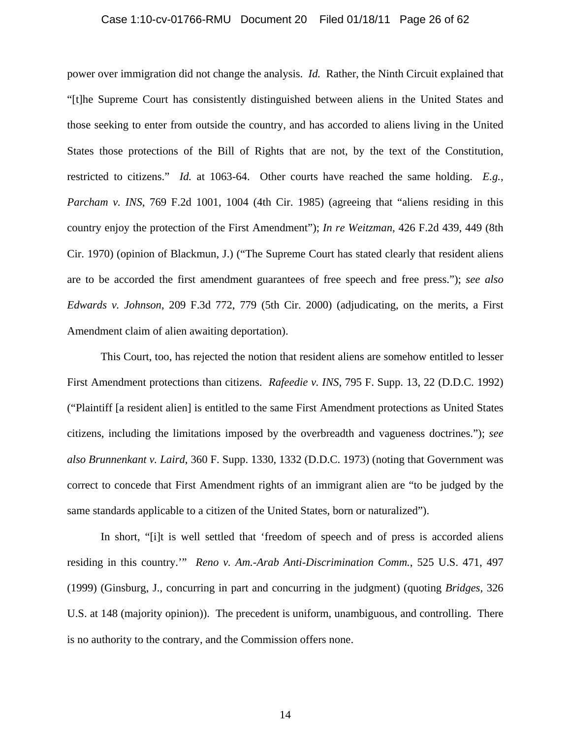#### Case 1:10-cv-01766-RMU Document 20 Filed 01/18/11 Page 26 of 62

power over immigration did not change the analysis. *Id.* Rather, the Ninth Circuit explained that "[t]he Supreme Court has consistently distinguished between aliens in the United States and those seeking to enter from outside the country, and has accorded to aliens living in the United States those protections of the Bill of Rights that are not, by the text of the Constitution, restricted to citizens." *Id.* at 1063-64. Other courts have reached the same holding. *E.g.*, *Parcham v. INS*, 769 F.2d 1001, 1004 (4th Cir. 1985) (agreeing that "aliens residing in this country enjoy the protection of the First Amendment"); *In re Weitzman*, 426 F.2d 439, 449 (8th Cir. 1970) (opinion of Blackmun, J.) ("The Supreme Court has stated clearly that resident aliens are to be accorded the first amendment guarantees of free speech and free press."); *see also Edwards v. Johnson*, 209 F.3d 772, 779 (5th Cir. 2000) (adjudicating, on the merits, a First Amendment claim of alien awaiting deportation).

This Court, too, has rejected the notion that resident aliens are somehow entitled to lesser First Amendment protections than citizens. *Rafeedie v. INS*, 795 F. Supp. 13, 22 (D.D.C. 1992) ("Plaintiff [a resident alien] is entitled to the same First Amendment protections as United States citizens, including the limitations imposed by the overbreadth and vagueness doctrines."); *see also Brunnenkant v. Laird*, 360 F. Supp. 1330, 1332 (D.D.C. 1973) (noting that Government was correct to concede that First Amendment rights of an immigrant alien are "to be judged by the same standards applicable to a citizen of the United States, born or naturalized").

In short, "[i]t is well settled that 'freedom of speech and of press is accorded aliens residing in this country.'" *Reno v. Am.-Arab Anti-Discrimination Comm.*, 525 U.S. 471, 497 (1999) (Ginsburg, J., concurring in part and concurring in the judgment) (quoting *Bridges*, 326 U.S. at 148 (majority opinion)). The precedent is uniform, unambiguous, and controlling. There is no authority to the contrary, and the Commission offers none.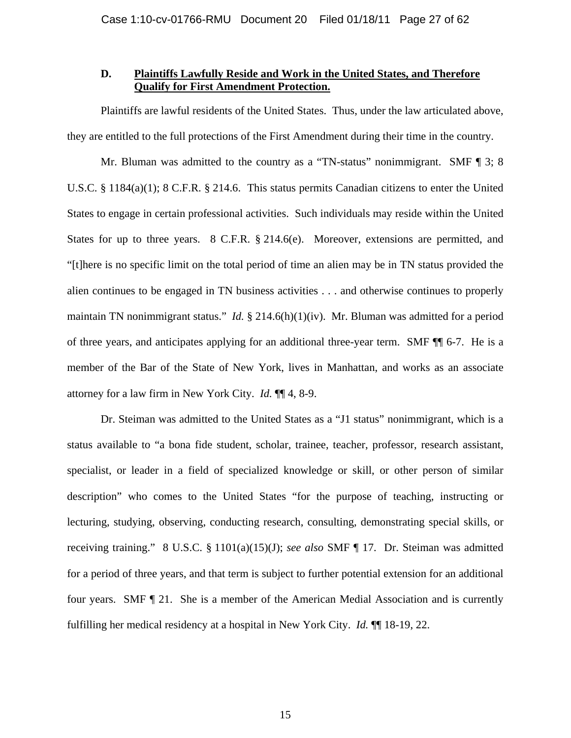# **D. Plaintiffs Lawfully Reside and Work in the United States, and Therefore Qualify for First Amendment Protection.**

Plaintiffs are lawful residents of the United States. Thus, under the law articulated above, they are entitled to the full protections of the First Amendment during their time in the country.

Mr. Bluman was admitted to the country as a "TN-status" nonimmigrant. SMF ¶ 3; 8 U.S.C. § 1184(a)(1); 8 C.F.R. § 214.6. This status permits Canadian citizens to enter the United States to engage in certain professional activities. Such individuals may reside within the United States for up to three years. 8 C.F.R. § 214.6(e). Moreover, extensions are permitted, and "[t]here is no specific limit on the total period of time an alien may be in TN status provided the alien continues to be engaged in TN business activities . . . and otherwise continues to properly maintain TN nonimmigrant status." *Id.* § 214.6(h)(1)(iv). Mr. Bluman was admitted for a period of three years, and anticipates applying for an additional three-year term. SMF ¶¶ 6-7. He is a member of the Bar of the State of New York, lives in Manhattan, and works as an associate attorney for a law firm in New York City. *Id.* ¶¶ 4, 8-9.

Dr. Steiman was admitted to the United States as a "J1 status" nonimmigrant, which is a status available to "a bona fide student, scholar, trainee, teacher, professor, research assistant, specialist, or leader in a field of specialized knowledge or skill, or other person of similar description" who comes to the United States "for the purpose of teaching, instructing or lecturing, studying, observing, conducting research, consulting, demonstrating special skills, or receiving training." 8 U.S.C. § 1101(a)(15)(J); *see also* SMF ¶ 17. Dr. Steiman was admitted for a period of three years, and that term is subject to further potential extension for an additional four years. SMF ¶ 21. She is a member of the American Medial Association and is currently fulfilling her medical residency at a hospital in New York City. *Id.* ¶¶ 18-19, 22.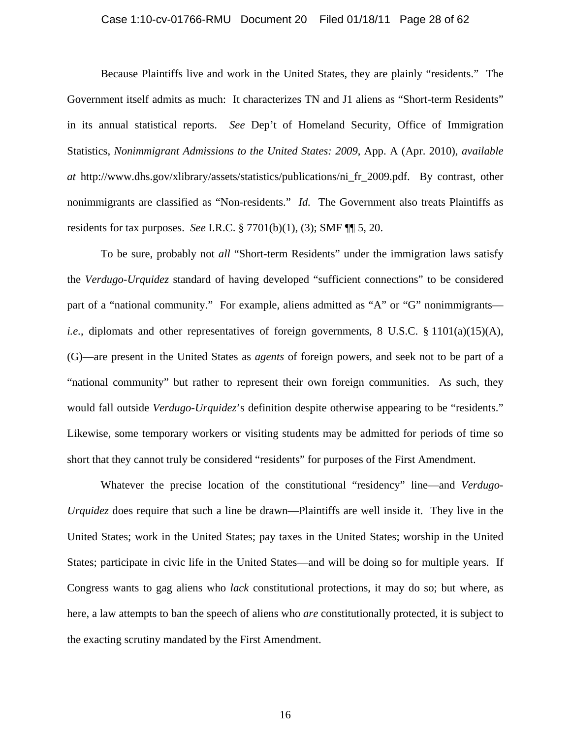#### Case 1:10-cv-01766-RMU Document 20 Filed 01/18/11 Page 28 of 62

Because Plaintiffs live and work in the United States, they are plainly "residents." The Government itself admits as much: It characterizes TN and J1 aliens as "Short-term Residents" in its annual statistical reports. *See* Dep't of Homeland Security, Office of Immigration Statistics, *Nonimmigrant Admissions to the United States: 2009*, App. A (Apr. 2010), *available at* http://www.dhs.gov/xlibrary/assets/statistics/publications/ni\_fr\_2009.pdf. By contrast, other nonimmigrants are classified as "Non-residents." *Id.* The Government also treats Plaintiffs as residents for tax purposes. *See* I.R.C. § 7701(b)(1), (3); SMF ¶¶ 5, 20.

To be sure, probably not *all* "Short-term Residents" under the immigration laws satisfy the *Verdugo-Urquidez* standard of having developed "sufficient connections" to be considered part of a "national community." For example, aliens admitted as "A" or "G" nonimmigrants *i.e.*, diplomats and other representatives of foreign governments, 8 U.S.C. § 1101(a)(15)(A), (G)—are present in the United States as *agents* of foreign powers, and seek not to be part of a "national community" but rather to represent their own foreign communities. As such, they would fall outside *Verdugo-Urquidez*'s definition despite otherwise appearing to be "residents." Likewise, some temporary workers or visiting students may be admitted for periods of time so short that they cannot truly be considered "residents" for purposes of the First Amendment.

Whatever the precise location of the constitutional "residency" line—and *Verdugo-Urquidez* does require that such a line be drawn—Plaintiffs are well inside it. They live in the United States; work in the United States; pay taxes in the United States; worship in the United States; participate in civic life in the United States—and will be doing so for multiple years. If Congress wants to gag aliens who *lack* constitutional protections, it may do so; but where, as here, a law attempts to ban the speech of aliens who *are* constitutionally protected, it is subject to the exacting scrutiny mandated by the First Amendment.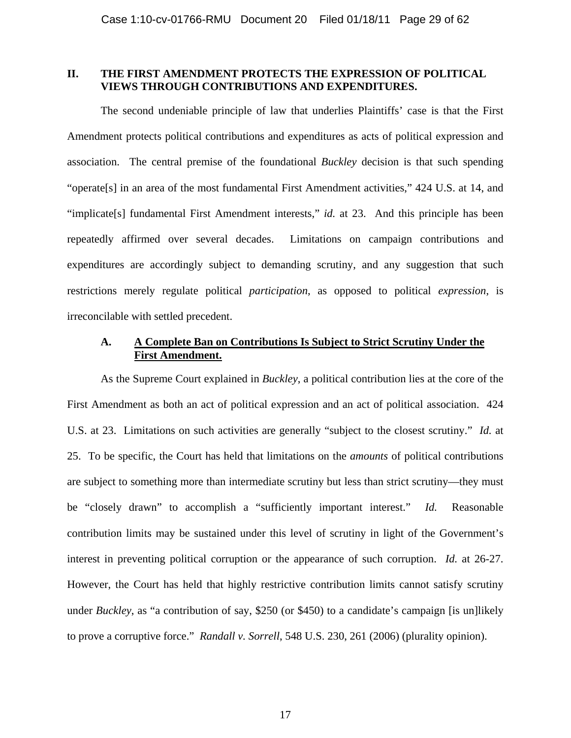### **II. THE FIRST AMENDMENT PROTECTS THE EXPRESSION OF POLITICAL VIEWS THROUGH CONTRIBUTIONS AND EXPENDITURES.**

The second undeniable principle of law that underlies Plaintiffs' case is that the First Amendment protects political contributions and expenditures as acts of political expression and association. The central premise of the foundational *Buckley* decision is that such spending "operate[s] in an area of the most fundamental First Amendment activities," 424 U.S. at 14, and "implicate[s] fundamental First Amendment interests," *id.* at 23. And this principle has been repeatedly affirmed over several decades. Limitations on campaign contributions and expenditures are accordingly subject to demanding scrutiny, and any suggestion that such restrictions merely regulate political *participation*, as opposed to political *expression*, is irreconcilable with settled precedent.

# **A. A Complete Ban on Contributions Is Subject to Strict Scrutiny Under the First Amendment.**

As the Supreme Court explained in *Buckley*, a political contribution lies at the core of the First Amendment as both an act of political expression and an act of political association. 424 U.S. at 23. Limitations on such activities are generally "subject to the closest scrutiny." *Id.* at 25. To be specific, the Court has held that limitations on the *amounts* of political contributions are subject to something more than intermediate scrutiny but less than strict scrutiny—they must be "closely drawn" to accomplish a "sufficiently important interest." *Id.* Reasonable contribution limits may be sustained under this level of scrutiny in light of the Government's interest in preventing political corruption or the appearance of such corruption. *Id.* at 26-27. However, the Court has held that highly restrictive contribution limits cannot satisfy scrutiny under *Buckley*, as "a contribution of say, \$250 (or \$450) to a candidate's campaign [is un]likely to prove a corruptive force." *Randall v. Sorrell*, 548 U.S. 230, 261 (2006) (plurality opinion).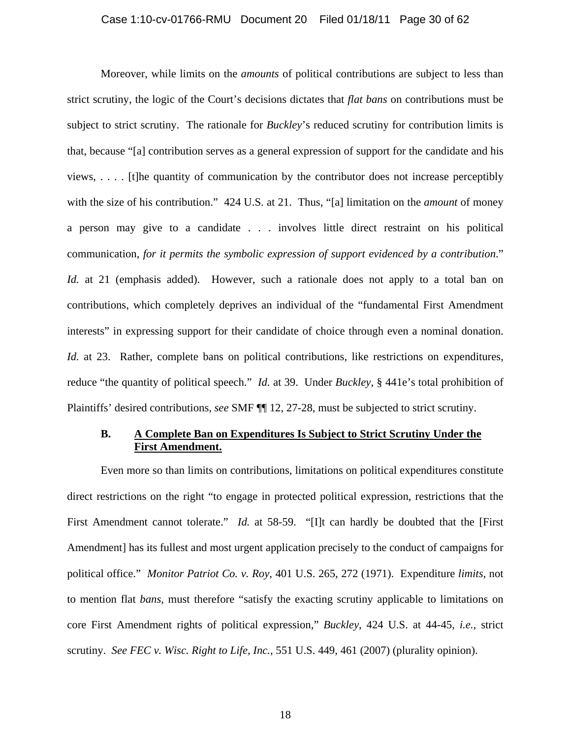#### Case 1:10-cv-01766-RMU Document 20 Filed 01/18/11 Page 30 of 62

Moreover, while limits on the *amounts* of political contributions are subject to less than strict scrutiny, the logic of the Court's decisions dictates that *flat bans* on contributions must be subject to strict scrutiny. The rationale for *Buckley*'s reduced scrutiny for contribution limits is that, because "[a] contribution serves as a general expression of support for the candidate and his views, . . . . [t]he quantity of communication by the contributor does not increase perceptibly with the size of his contribution." 424 U.S. at 21. Thus, "[a] limitation on the *amount* of money a person may give to a candidate . . . involves little direct restraint on his political communication, *for it permits the symbolic expression of support evidenced by a contribution*." *Id.* at 21 (emphasis added). However, such a rationale does not apply to a total ban on contributions, which completely deprives an individual of the "fundamental First Amendment interests" in expressing support for their candidate of choice through even a nominal donation. *Id.* at 23. Rather, complete bans on political contributions, like restrictions on expenditures, reduce "the quantity of political speech." *Id.* at 39. Under *Buckley*, § 441e's total prohibition of Plaintiffs' desired contributions, *see* SMF ¶¶ 12, 27-28, must be subjected to strict scrutiny.

# **B. A Complete Ban on Expenditures Is Subject to Strict Scrutiny Under the First Amendment.**

Even more so than limits on contributions, limitations on political expenditures constitute direct restrictions on the right "to engage in protected political expression, restrictions that the First Amendment cannot tolerate." *Id.* at 58-59. "[I]t can hardly be doubted that the [First Amendment] has its fullest and most urgent application precisely to the conduct of campaigns for political office." *Monitor Patriot Co. v. Roy*, 401 U.S. 265, 272 (1971). Expenditure *limits*, not to mention flat *bans*, must therefore "satisfy the exacting scrutiny applicable to limitations on core First Amendment rights of political expression," *Buckley*, 424 U.S. at 44-45, *i.e.*, strict scrutiny. *See FEC v. Wisc. Right to Life, Inc.*, 551 U.S. 449, 461 (2007) (plurality opinion).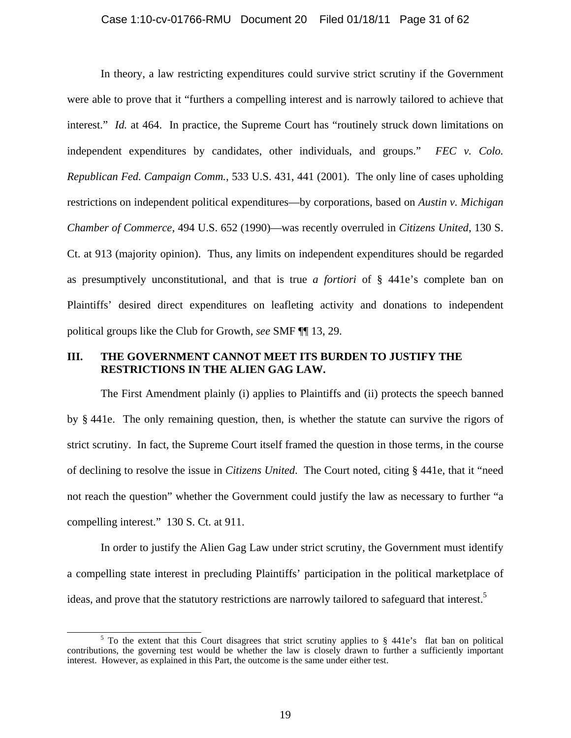#### Case 1:10-cv-01766-RMU Document 20 Filed 01/18/11 Page 31 of 62

In theory, a law restricting expenditures could survive strict scrutiny if the Government were able to prove that it "furthers a compelling interest and is narrowly tailored to achieve that interest." *Id.* at 464. In practice, the Supreme Court has "routinely struck down limitations on independent expenditures by candidates, other individuals, and groups." *FEC v. Colo. Republican Fed. Campaign Comm.*, 533 U.S. 431, 441 (2001). The only line of cases upholding restrictions on independent political expenditures—by corporations, based on *Austin v. Michigan Chamber of Commerce*, 494 U.S. 652 (1990)—was recently overruled in *Citizens United*, 130 S. Ct. at 913 (majority opinion). Thus, any limits on independent expenditures should be regarded as presumptively unconstitutional, and that is true *a fortiori* of § 441e's complete ban on Plaintiffs' desired direct expenditures on leafleting activity and donations to independent political groups like the Club for Growth, *see* SMF ¶¶ 13, 29.

# **III. THE GOVERNMENT CANNOT MEET ITS BURDEN TO JUSTIFY THE RESTRICTIONS IN THE ALIEN GAG LAW.**

The First Amendment plainly (i) applies to Plaintiffs and (ii) protects the speech banned by § 441e. The only remaining question, then, is whether the statute can survive the rigors of strict scrutiny. In fact, the Supreme Court itself framed the question in those terms, in the course of declining to resolve the issue in *Citizens United*. The Court noted, citing § 441e, that it "need not reach the question" whether the Government could justify the law as necessary to further "a compelling interest." 130 S. Ct. at 911.

In order to justify the Alien Gag Law under strict scrutiny, the Government must identify a compelling state interest in precluding Plaintiffs' participation in the political marketplace of ideas, and prove that the statutory restrictions are narrowly tailored to safeguard that interest.<sup>5</sup>

 $rac{1}{5}$  $5$  To the extent that this Court disagrees that strict scrutiny applies to § 441e's flat ban on political contributions, the governing test would be whether the law is closely drawn to further a sufficiently important interest. However, as explained in this Part, the outcome is the same under either test.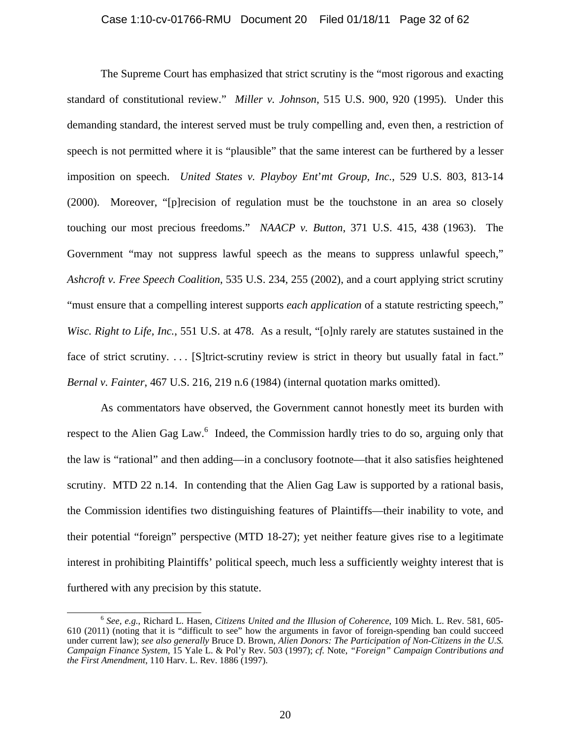#### Case 1:10-cv-01766-RMU Document 20 Filed 01/18/11 Page 32 of 62

The Supreme Court has emphasized that strict scrutiny is the "most rigorous and exacting standard of constitutional review." *Miller v. Johnson*, 515 U.S. 900, 920 (1995). Under this demanding standard, the interest served must be truly compelling and, even then, a restriction of speech is not permitted where it is "plausible" that the same interest can be furthered by a lesser imposition on speech. *United States v. Playboy Ent*'*mt Group, Inc.*, 529 U.S. 803, 813-14 (2000). Moreover, "[p]recision of regulation must be the touchstone in an area so closely touching our most precious freedoms." *NAACP v. Button*, 371 U.S. 415, 438 (1963). The Government "may not suppress lawful speech as the means to suppress unlawful speech," *Ashcroft v. Free Speech Coalition*, 535 U.S. 234, 255 (2002), and a court applying strict scrutiny "must ensure that a compelling interest supports *each application* of a statute restricting speech," *Wisc. Right to Life, Inc.*, 551 U.S. at 478. As a result, "[o]nly rarely are statutes sustained in the face of strict scrutiny.... [S]trict-scrutiny review is strict in theory but usually fatal in fact." *Bernal v. Fainter*, 467 U.S. 216, 219 n.6 (1984) (internal quotation marks omitted).

As commentators have observed, the Government cannot honestly meet its burden with respect to the Alien Gag Law.<sup>6</sup> Indeed, the Commission hardly tries to do so, arguing only that the law is "rational" and then adding—in a conclusory footnote—that it also satisfies heightened scrutiny. MTD 22 n.14. In contending that the Alien Gag Law is supported by a rational basis, the Commission identifies two distinguishing features of Plaintiffs—their inability to vote, and their potential "foreign" perspective (MTD 18-27); yet neither feature gives rise to a legitimate interest in prohibiting Plaintiffs' political speech, much less a sufficiently weighty interest that is furthered with any precision by this statute.

 <sup>6</sup> *See, e.g.*, Richard L. Hasen, *Citizens United and the Illusion of Coherence*, 109 Mich. L. Rev. 581, 605- 610 (2011) (noting that it is "difficult to see" how the arguments in favor of foreign-spending ban could succeed under current law); *see also generally* Bruce D. Brown, *Alien Donors: The Participation of Non-Citizens in the U.S. Campaign Finance System*, 15 Yale L. & Pol'y Rev. 503 (1997); *cf.* Note, *"Foreign" Campaign Contributions and the First Amendment*, 110 Harv. L. Rev. 1886 (1997).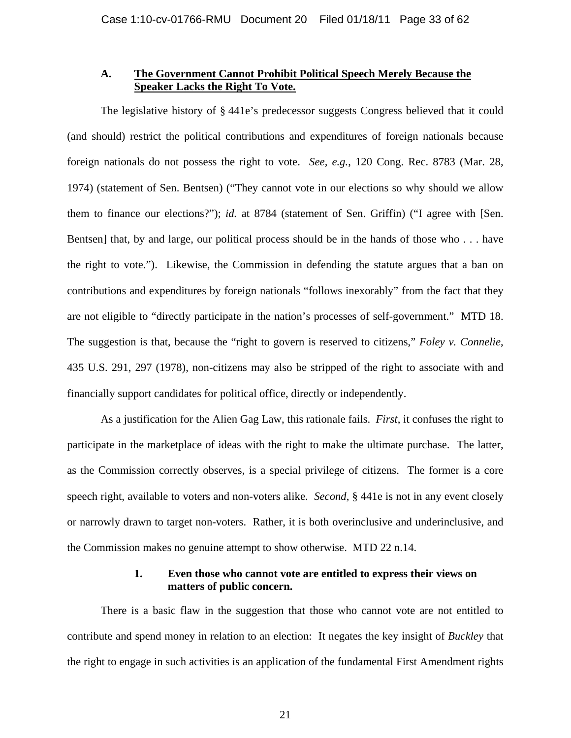## **A. The Government Cannot Prohibit Political Speech Merely Because the Speaker Lacks the Right To Vote.**

The legislative history of § 441e's predecessor suggests Congress believed that it could (and should) restrict the political contributions and expenditures of foreign nationals because foreign nationals do not possess the right to vote. *See, e.g.*, 120 Cong. Rec. 8783 (Mar. 28, 1974) (statement of Sen. Bentsen) ("They cannot vote in our elections so why should we allow them to finance our elections?"); *id.* at 8784 (statement of Sen. Griffin) ("I agree with [Sen. Bentsen] that, by and large, our political process should be in the hands of those who . . . have the right to vote."). Likewise, the Commission in defending the statute argues that a ban on contributions and expenditures by foreign nationals "follows inexorably" from the fact that they are not eligible to "directly participate in the nation's processes of self-government." MTD 18. The suggestion is that, because the "right to govern is reserved to citizens," *Foley v. Connelie*, 435 U.S. 291, 297 (1978), non-citizens may also be stripped of the right to associate with and financially support candidates for political office, directly or independently.

As a justification for the Alien Gag Law, this rationale fails. *First*, it confuses the right to participate in the marketplace of ideas with the right to make the ultimate purchase. The latter, as the Commission correctly observes, is a special privilege of citizens. The former is a core speech right, available to voters and non-voters alike. *Second*, § 441e is not in any event closely or narrowly drawn to target non-voters. Rather, it is both overinclusive and underinclusive, and the Commission makes no genuine attempt to show otherwise. MTD 22 n.14.

### **1. Even those who cannot vote are entitled to express their views on matters of public concern.**

There is a basic flaw in the suggestion that those who cannot vote are not entitled to contribute and spend money in relation to an election: It negates the key insight of *Buckley* that the right to engage in such activities is an application of the fundamental First Amendment rights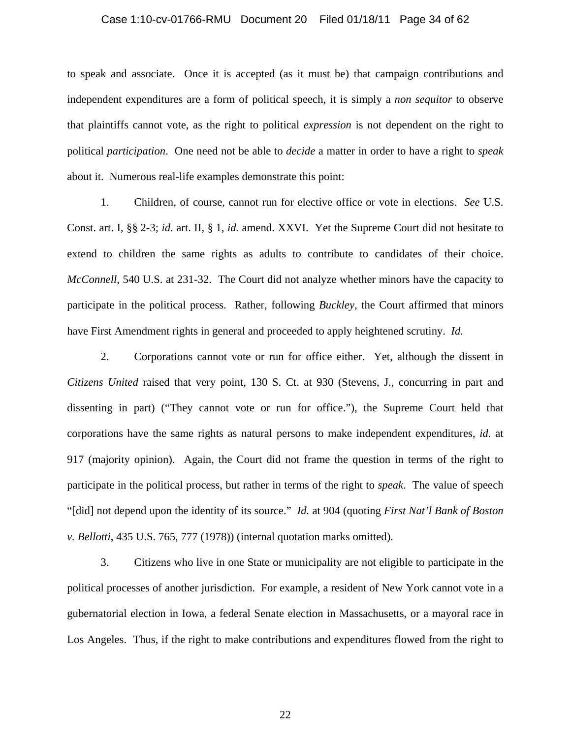#### Case 1:10-cv-01766-RMU Document 20 Filed 01/18/11 Page 34 of 62

to speak and associate. Once it is accepted (as it must be) that campaign contributions and independent expenditures are a form of political speech, it is simply a *non sequitor* to observe that plaintiffs cannot vote, as the right to political *expression* is not dependent on the right to political *participation*. One need not be able to *decide* a matter in order to have a right to *speak* about it. Numerous real-life examples demonstrate this point:

1. Children, of course, cannot run for elective office or vote in elections. *See* U.S. Const. art. I, §§ 2-3; *id.* art. II, § 1, *id.* amend. XXVI. Yet the Supreme Court did not hesitate to extend to children the same rights as adults to contribute to candidates of their choice. *McConnell*, 540 U.S. at 231-32. The Court did not analyze whether minors have the capacity to participate in the political process. Rather, following *Buckley*, the Court affirmed that minors have First Amendment rights in general and proceeded to apply heightened scrutiny. *Id.*

2. Corporations cannot vote or run for office either. Yet, although the dissent in *Citizens United* raised that very point, 130 S. Ct. at 930 (Stevens, J., concurring in part and dissenting in part) ("They cannot vote or run for office."), the Supreme Court held that corporations have the same rights as natural persons to make independent expenditures, *id.* at 917 (majority opinion). Again, the Court did not frame the question in terms of the right to participate in the political process, but rather in terms of the right to *speak*. The value of speech "[did] not depend upon the identity of its source." *Id.* at 904 (quoting *First Nat'l Bank of Boston v. Bellotti*, 435 U.S. 765, 777 (1978)) (internal quotation marks omitted).

3. Citizens who live in one State or municipality are not eligible to participate in the political processes of another jurisdiction. For example, a resident of New York cannot vote in a gubernatorial election in Iowa, a federal Senate election in Massachusetts, or a mayoral race in Los Angeles. Thus, if the right to make contributions and expenditures flowed from the right to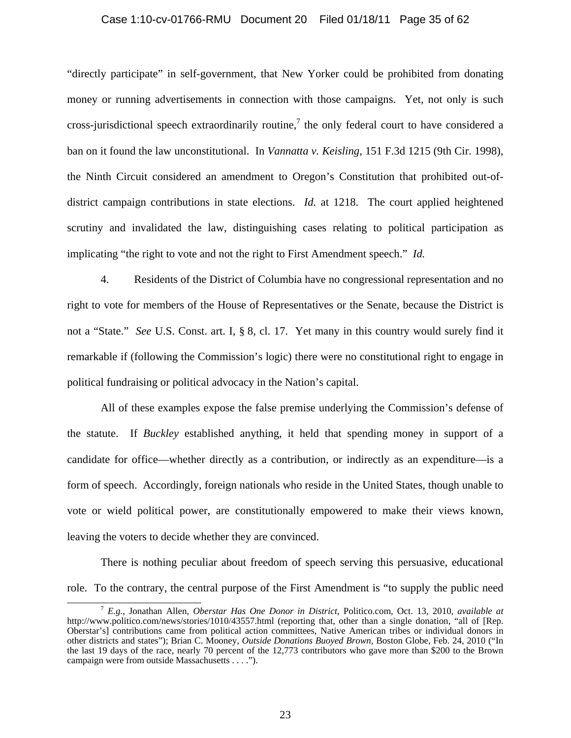#### Case 1:10-cv-01766-RMU Document 20 Filed 01/18/11 Page 35 of 62

"directly participate" in self-government, that New Yorker could be prohibited from donating money or running advertisements in connection with those campaigns. Yet, not only is such cross-jurisdictional speech extraordinarily routine,<sup>7</sup> the only federal court to have considered a ban on it found the law unconstitutional. In *Vannatta v. Keisling*, 151 F.3d 1215 (9th Cir. 1998), the Ninth Circuit considered an amendment to Oregon's Constitution that prohibited out-ofdistrict campaign contributions in state elections. *Id.* at 1218. The court applied heightened scrutiny and invalidated the law, distinguishing cases relating to political participation as implicating "the right to vote and not the right to First Amendment speech." *Id.*

4. Residents of the District of Columbia have no congressional representation and no right to vote for members of the House of Representatives or the Senate, because the District is not a "State." *See* U.S. Const. art. I, § 8, cl. 17. Yet many in this country would surely find it remarkable if (following the Commission's logic) there were no constitutional right to engage in political fundraising or political advocacy in the Nation's capital.

All of these examples expose the false premise underlying the Commission's defense of the statute. If *Buckley* established anything, it held that spending money in support of a candidate for office—whether directly as a contribution, or indirectly as an expenditure—is a form of speech. Accordingly, foreign nationals who reside in the United States, though unable to vote or wield political power, are constitutionally empowered to make their views known, leaving the voters to decide whether they are convinced.

There is nothing peculiar about freedom of speech serving this persuasive, educational role. To the contrary, the central purpose of the First Amendment is "to supply the public need

 <sup>7</sup> *E.g.*, Jonathan Allen, *Oberstar Has One Donor in District*, Politico.com, Oct. 13, 2010, *available at*  http://www.politico.com/news/stories/1010/43557.html (reporting that, other than a single donation, "all of [Rep. Oberstar's] contributions came from political action committees, Native American tribes or individual donors in other districts and states"); Brian C. Mooney, *Outside Donations Buoyed Brown*, Boston Globe, Feb. 24, 2010 ("In the last 19 days of the race, nearly 70 percent of the 12,773 contributors who gave more than \$200 to the Brown campaign were from outside Massachusetts . . . .").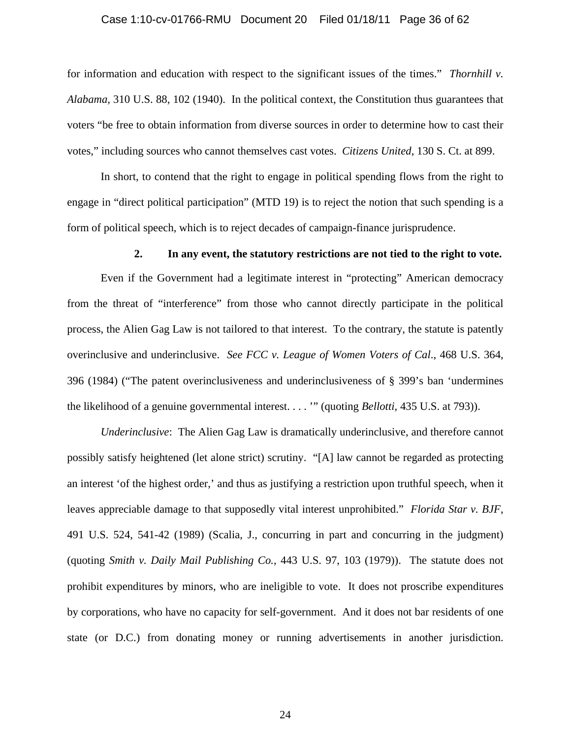#### Case 1:10-cv-01766-RMU Document 20 Filed 01/18/11 Page 36 of 62

for information and education with respect to the significant issues of the times." *Thornhill v. Alabama*, 310 U.S. 88, 102 (1940). In the political context, the Constitution thus guarantees that voters "be free to obtain information from diverse sources in order to determine how to cast their votes," including sources who cannot themselves cast votes. *Citizens United*, 130 S. Ct. at 899.

In short, to contend that the right to engage in political spending flows from the right to engage in "direct political participation" (MTD 19) is to reject the notion that such spending is a form of political speech, which is to reject decades of campaign-finance jurisprudence.

#### **2. In any event, the statutory restrictions are not tied to the right to vote.**

Even if the Government had a legitimate interest in "protecting" American democracy from the threat of "interference" from those who cannot directly participate in the political process, the Alien Gag Law is not tailored to that interest. To the contrary, the statute is patently overinclusive and underinclusive. *See FCC v. League of Women Voters of Cal*., 468 U.S. 364, 396 (1984) ("The patent overinclusiveness and underinclusiveness of § 399's ban 'undermines the likelihood of a genuine governmental interest. . . . '" (quoting *Bellotti*, 435 U.S. at 793)).

*Underinclusive*: The Alien Gag Law is dramatically underinclusive, and therefore cannot possibly satisfy heightened (let alone strict) scrutiny. "[A] law cannot be regarded as protecting an interest 'of the highest order,' and thus as justifying a restriction upon truthful speech, when it leaves appreciable damage to that supposedly vital interest unprohibited." *Florida Star v. BJF*, 491 U.S. 524, 541-42 (1989) (Scalia, J., concurring in part and concurring in the judgment) (quoting *Smith v. Daily Mail Publishing Co.*, 443 U.S. 97, 103 (1979)). The statute does not prohibit expenditures by minors, who are ineligible to vote. It does not proscribe expenditures by corporations, who have no capacity for self-government. And it does not bar residents of one state (or D.C.) from donating money or running advertisements in another jurisdiction.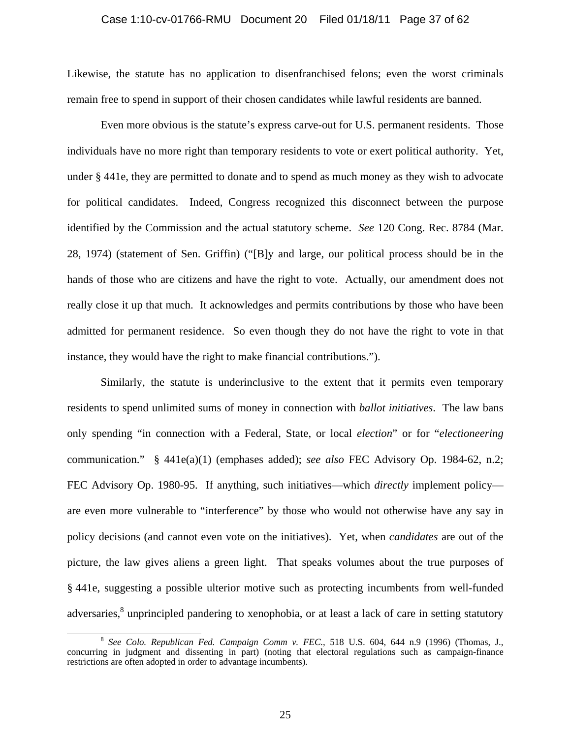#### Case 1:10-cv-01766-RMU Document 20 Filed 01/18/11 Page 37 of 62

Likewise, the statute has no application to disenfranchised felons; even the worst criminals remain free to spend in support of their chosen candidates while lawful residents are banned.

Even more obvious is the statute's express carve-out for U.S. permanent residents. Those individuals have no more right than temporary residents to vote or exert political authority. Yet, under § 441e, they are permitted to donate and to spend as much money as they wish to advocate for political candidates. Indeed, Congress recognized this disconnect between the purpose identified by the Commission and the actual statutory scheme. *See* 120 Cong. Rec. 8784 (Mar. 28, 1974) (statement of Sen. Griffin) ("[B]y and large, our political process should be in the hands of those who are citizens and have the right to vote. Actually, our amendment does not really close it up that much. It acknowledges and permits contributions by those who have been admitted for permanent residence. So even though they do not have the right to vote in that instance, they would have the right to make financial contributions.").

Similarly, the statute is underinclusive to the extent that it permits even temporary residents to spend unlimited sums of money in connection with *ballot initiatives*. The law bans only spending "in connection with a Federal, State, or local *election*" or for "*electioneering* communication." § 441e(a)(1) (emphases added); *see also* FEC Advisory Op. 1984-62, n.2; FEC Advisory Op. 1980-95. If anything, such initiatives—which *directly* implement policy are even more vulnerable to "interference" by those who would not otherwise have any say in policy decisions (and cannot even vote on the initiatives). Yet, when *candidates* are out of the picture, the law gives aliens a green light. That speaks volumes about the true purposes of § 441e, suggesting a possible ulterior motive such as protecting incumbents from well-funded adversaries,<sup>8</sup> unprincipled pandering to xenophobia, or at least a lack of care in setting statutory

 <sup>8</sup> *See Colo. Republican Fed. Campaign Comm v. FEC.*, 518 U.S. 604, 644 n.9 (1996) (Thomas, J., concurring in judgment and dissenting in part) (noting that electoral regulations such as campaign-finance restrictions are often adopted in order to advantage incumbents).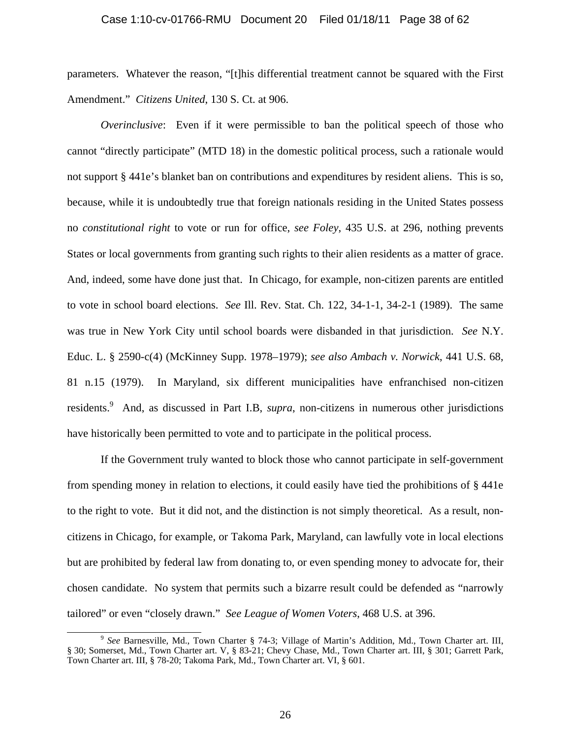#### Case 1:10-cv-01766-RMU Document 20 Filed 01/18/11 Page 38 of 62

parameters. Whatever the reason, "[t]his differential treatment cannot be squared with the First Amendment." *Citizens United*, 130 S. Ct. at 906.

*Overinclusive*: Even if it were permissible to ban the political speech of those who cannot "directly participate" (MTD 18) in the domestic political process, such a rationale would not support § 441e's blanket ban on contributions and expenditures by resident aliens. This is so, because, while it is undoubtedly true that foreign nationals residing in the United States possess no *constitutional right* to vote or run for office, *see Foley*, 435 U.S. at 296, nothing prevents States or local governments from granting such rights to their alien residents as a matter of grace. And, indeed, some have done just that. In Chicago, for example, non-citizen parents are entitled to vote in school board elections. *See* Ill. Rev. Stat. Ch. 122, 34-1-1, 34-2-1 (1989). The same was true in New York City until school boards were disbanded in that jurisdiction. *See* N.Y. Educ. L. § 2590-c(4) (McKinney Supp. 1978–1979); *see also Ambach v. Norwick*, 441 U.S. 68, 81 n.15 (1979). In Maryland, six different municipalities have enfranchised non-citizen residents.<sup>9</sup> And, as discussed in Part I.B, *supra*, non-citizens in numerous other jurisdictions have historically been permitted to vote and to participate in the political process.

If the Government truly wanted to block those who cannot participate in self-government from spending money in relation to elections, it could easily have tied the prohibitions of § 441e to the right to vote. But it did not, and the distinction is not simply theoretical. As a result, noncitizens in Chicago, for example, or Takoma Park, Maryland, can lawfully vote in local elections but are prohibited by federal law from donating to, or even spending money to advocate for, their chosen candidate. No system that permits such a bizarre result could be defended as "narrowly tailored" or even "closely drawn." *See League of Women Voters*, 468 U.S. at 396.

 <sup>9</sup> *See* Barnesville, Md., Town Charter § 74-3; Village of Martin's Addition, Md., Town Charter art. III, § 30; Somerset, Md., Town Charter art. V, § 83-21; Chevy Chase, Md., Town Charter art. III, § 301; Garrett Park, Town Charter art. III, § 78-20; Takoma Park, Md., Town Charter art. VI, § 601.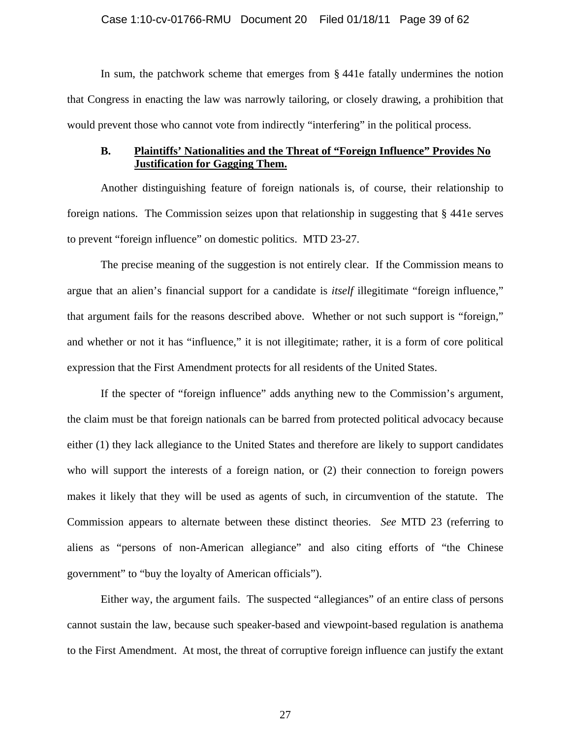In sum, the patchwork scheme that emerges from § 441e fatally undermines the notion that Congress in enacting the law was narrowly tailoring, or closely drawing, a prohibition that would prevent those who cannot vote from indirectly "interfering" in the political process.

# **B. Plaintiffs' Nationalities and the Threat of "Foreign Influence" Provides No Justification for Gagging Them.**

Another distinguishing feature of foreign nationals is, of course, their relationship to foreign nations. The Commission seizes upon that relationship in suggesting that § 441e serves to prevent "foreign influence" on domestic politics. MTD 23-27.

The precise meaning of the suggestion is not entirely clear. If the Commission means to argue that an alien's financial support for a candidate is *itself* illegitimate "foreign influence," that argument fails for the reasons described above. Whether or not such support is "foreign," and whether or not it has "influence," it is not illegitimate; rather, it is a form of core political expression that the First Amendment protects for all residents of the United States.

If the specter of "foreign influence" adds anything new to the Commission's argument, the claim must be that foreign nationals can be barred from protected political advocacy because either (1) they lack allegiance to the United States and therefore are likely to support candidates who will support the interests of a foreign nation, or (2) their connection to foreign powers makes it likely that they will be used as agents of such, in circumvention of the statute. The Commission appears to alternate between these distinct theories. *See* MTD 23 (referring to aliens as "persons of non-American allegiance" and also citing efforts of "the Chinese government" to "buy the loyalty of American officials").

Either way, the argument fails. The suspected "allegiances" of an entire class of persons cannot sustain the law, because such speaker-based and viewpoint-based regulation is anathema to the First Amendment. At most, the threat of corruptive foreign influence can justify the extant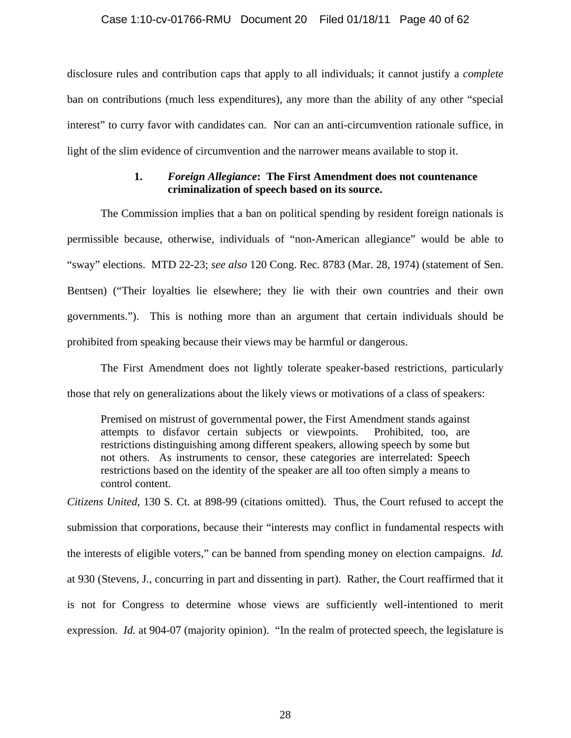### Case 1:10-cv-01766-RMU Document 20 Filed 01/18/11 Page 40 of 62

disclosure rules and contribution caps that apply to all individuals; it cannot justify a *complete* ban on contributions (much less expenditures), any more than the ability of any other "special interest" to curry favor with candidates can. Nor can an anti-circumvention rationale suffice, in light of the slim evidence of circumvention and the narrower means available to stop it.

# **1.** *Foreign Allegiance***: The First Amendment does not countenance criminalization of speech based on its source.**

The Commission implies that a ban on political spending by resident foreign nationals is permissible because, otherwise, individuals of "non-American allegiance" would be able to "sway" elections. MTD 22-23; *see also* 120 Cong. Rec. 8783 (Mar. 28, 1974) (statement of Sen. Bentsen) ("Their loyalties lie elsewhere; they lie with their own countries and their own governments."). This is nothing more than an argument that certain individuals should be prohibited from speaking because their views may be harmful or dangerous.

The First Amendment does not lightly tolerate speaker-based restrictions, particularly those that rely on generalizations about the likely views or motivations of a class of speakers:

Premised on mistrust of governmental power, the First Amendment stands against attempts to disfavor certain subjects or viewpoints. Prohibited, too, are restrictions distinguishing among different speakers, allowing speech by some but not others. As instruments to censor, these categories are interrelated: Speech restrictions based on the identity of the speaker are all too often simply a means to control content.

*Citizens United*, 130 S. Ct. at 898-99 (citations omitted). Thus, the Court refused to accept the submission that corporations, because their "interests may conflict in fundamental respects with the interests of eligible voters," can be banned from spending money on election campaigns. *Id.* at 930 (Stevens, J., concurring in part and dissenting in part). Rather, the Court reaffirmed that it is not for Congress to determine whose views are sufficiently well-intentioned to merit expression. *Id.* at 904-07 (majority opinion). "In the realm of protected speech, the legislature is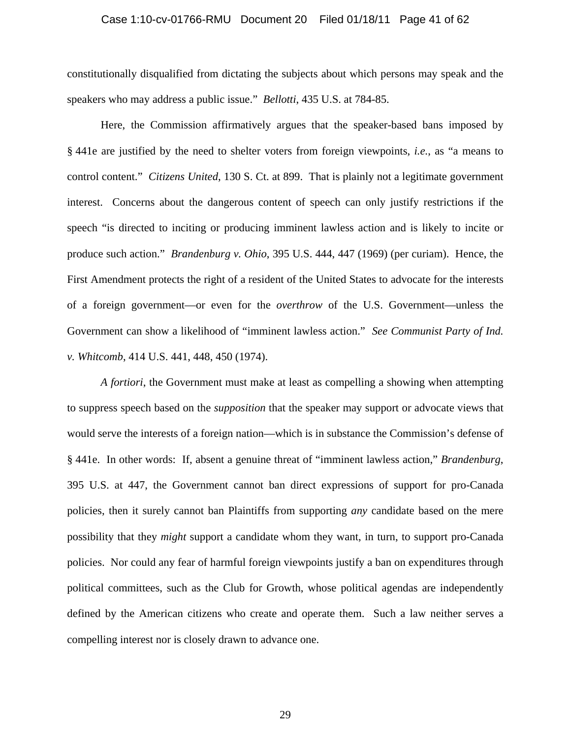#### Case 1:10-cv-01766-RMU Document 20 Filed 01/18/11 Page 41 of 62

constitutionally disqualified from dictating the subjects about which persons may speak and the speakers who may address a public issue." *Bellotti*, 435 U.S. at 784-85.

 Here, the Commission affirmatively argues that the speaker-based bans imposed by § 441e are justified by the need to shelter voters from foreign viewpoints, *i.e.*, as "a means to control content." *Citizens United*, 130 S. Ct. at 899. That is plainly not a legitimate government interest. Concerns about the dangerous content of speech can only justify restrictions if the speech "is directed to inciting or producing imminent lawless action and is likely to incite or produce such action." *Brandenburg v. Ohio*, 395 U.S. 444, 447 (1969) (per curiam). Hence, the First Amendment protects the right of a resident of the United States to advocate for the interests of a foreign government—or even for the *overthrow* of the U.S. Government—unless the Government can show a likelihood of "imminent lawless action." *See Communist Party of Ind. v. Whitcomb*, 414 U.S. 441, 448, 450 (1974).

*A fortiori*, the Government must make at least as compelling a showing when attempting to suppress speech based on the *supposition* that the speaker may support or advocate views that would serve the interests of a foreign nation—which is in substance the Commission's defense of § 441e. In other words: If, absent a genuine threat of "imminent lawless action," *Brandenburg*, 395 U.S. at 447, the Government cannot ban direct expressions of support for pro-Canada policies, then it surely cannot ban Plaintiffs from supporting *any* candidate based on the mere possibility that they *might* support a candidate whom they want, in turn, to support pro-Canada policies. Nor could any fear of harmful foreign viewpoints justify a ban on expenditures through political committees, such as the Club for Growth, whose political agendas are independently defined by the American citizens who create and operate them. Such a law neither serves a compelling interest nor is closely drawn to advance one.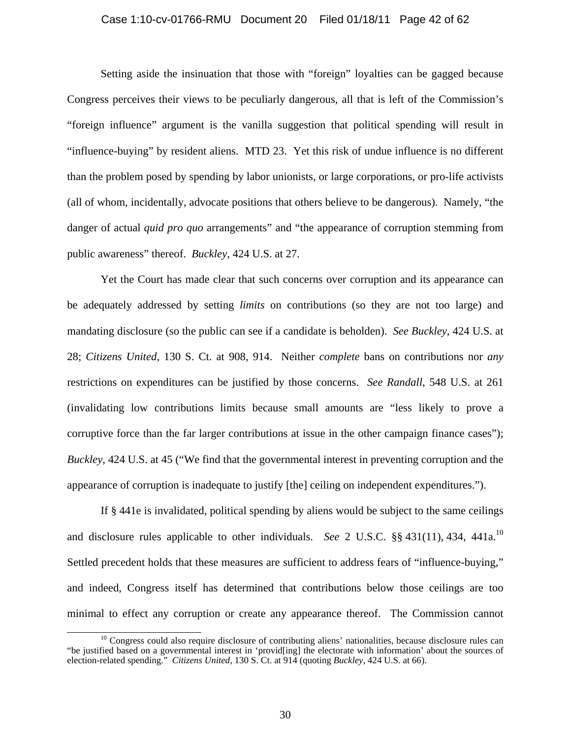#### Case 1:10-cv-01766-RMU Document 20 Filed 01/18/11 Page 42 of 62

Setting aside the insinuation that those with "foreign" loyalties can be gagged because Congress perceives their views to be peculiarly dangerous, all that is left of the Commission's "foreign influence" argument is the vanilla suggestion that political spending will result in "influence-buying" by resident aliens. MTD 23. Yet this risk of undue influence is no different than the problem posed by spending by labor unionists, or large corporations, or pro-life activists (all of whom, incidentally, advocate positions that others believe to be dangerous). Namely, "the danger of actual *quid pro quo* arrangements" and "the appearance of corruption stemming from public awareness" thereof. *Buckley*, 424 U.S. at 27.

Yet the Court has made clear that such concerns over corruption and its appearance can be adequately addressed by setting *limits* on contributions (so they are not too large) and mandating disclosure (so the public can see if a candidate is beholden). *See Buckley*, 424 U.S. at 28; *Citizens United*, 130 S. Ct. at 908, 914. Neither *complete* bans on contributions nor *any* restrictions on expenditures can be justified by those concerns. *See Randall*, 548 U.S. at 261 (invalidating low contributions limits because small amounts are "less likely to prove a corruptive force than the far larger contributions at issue in the other campaign finance cases"); *Buckley*, 424 U.S. at 45 ("We find that the governmental interest in preventing corruption and the appearance of corruption is inadequate to justify [the] ceiling on independent expenditures.").

If § 441e is invalidated, political spending by aliens would be subject to the same ceilings and disclosure rules applicable to other individuals. *See* 2 U.S.C. §§ 431(11), 434, 441a.10 Settled precedent holds that these measures are sufficient to address fears of "influence-buying," and indeed, Congress itself has determined that contributions below those ceilings are too minimal to effect any corruption or create any appearance thereof. The Commission cannot

<sup>&</sup>lt;sup>10</sup> Congress could also require disclosure of contributing aliens' nationalities, because disclosure rules can "be justified based on a governmental interest in 'provid[ing] the electorate with information' about the sources of election-related spending." *Citizens United*, 130 S. Ct. at 914 (quoting *Buckley*, 424 U.S. at 66).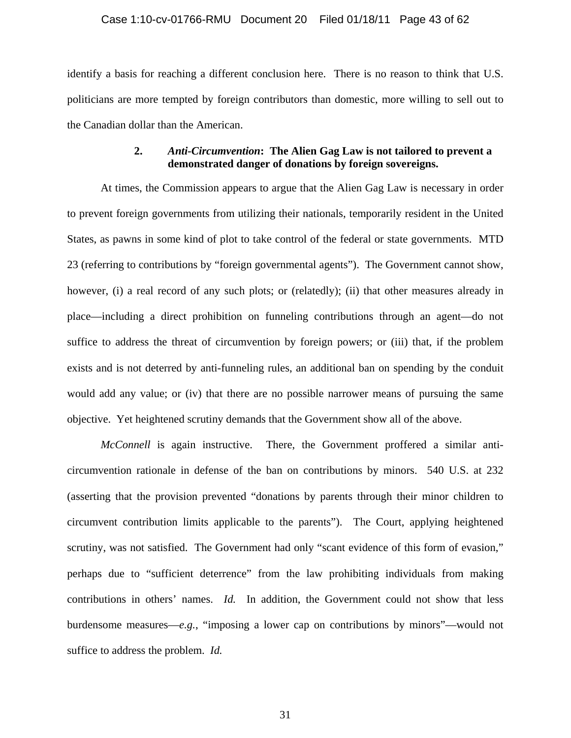#### Case 1:10-cv-01766-RMU Document 20 Filed 01/18/11 Page 43 of 62

identify a basis for reaching a different conclusion here. There is no reason to think that U.S. politicians are more tempted by foreign contributors than domestic, more willing to sell out to the Canadian dollar than the American.

# **2.** *Anti-Circumvention***: The Alien Gag Law is not tailored to prevent a demonstrated danger of donations by foreign sovereigns.**

At times, the Commission appears to argue that the Alien Gag Law is necessary in order to prevent foreign governments from utilizing their nationals, temporarily resident in the United States, as pawns in some kind of plot to take control of the federal or state governments. MTD 23 (referring to contributions by "foreign governmental agents"). The Government cannot show, however, (i) a real record of any such plots; or (relatedly); (ii) that other measures already in place—including a direct prohibition on funneling contributions through an agent—do not suffice to address the threat of circumvention by foreign powers; or (iii) that, if the problem exists and is not deterred by anti-funneling rules, an additional ban on spending by the conduit would add any value; or (iv) that there are no possible narrower means of pursuing the same objective. Yet heightened scrutiny demands that the Government show all of the above.

*McConnell* is again instructive. There, the Government proffered a similar anticircumvention rationale in defense of the ban on contributions by minors. 540 U.S. at 232 (asserting that the provision prevented "donations by parents through their minor children to circumvent contribution limits applicable to the parents"). The Court, applying heightened scrutiny, was not satisfied. The Government had only "scant evidence of this form of evasion," perhaps due to "sufficient deterrence" from the law prohibiting individuals from making contributions in others' names. *Id.* In addition, the Government could not show that less burdensome measures—*e.g.*, "imposing a lower cap on contributions by minors"—would not suffice to address the problem. *Id.*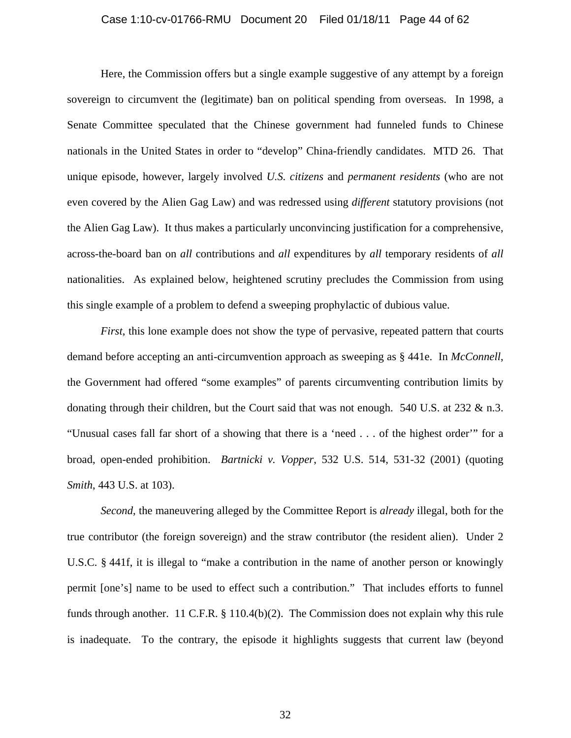#### Case 1:10-cv-01766-RMU Document 20 Filed 01/18/11 Page 44 of 62

Here, the Commission offers but a single example suggestive of any attempt by a foreign sovereign to circumvent the (legitimate) ban on political spending from overseas. In 1998, a Senate Committee speculated that the Chinese government had funneled funds to Chinese nationals in the United States in order to "develop" China-friendly candidates. MTD 26. That unique episode, however, largely involved *U.S. citizens* and *permanent residents* (who are not even covered by the Alien Gag Law) and was redressed using *different* statutory provisions (not the Alien Gag Law). It thus makes a particularly unconvincing justification for a comprehensive, across-the-board ban on *all* contributions and *all* expenditures by *all* temporary residents of *all* nationalities. As explained below, heightened scrutiny precludes the Commission from using this single example of a problem to defend a sweeping prophylactic of dubious value.

*First*, this lone example does not show the type of pervasive, repeated pattern that courts demand before accepting an anti-circumvention approach as sweeping as § 441e. In *McConnell*, the Government had offered "some examples" of parents circumventing contribution limits by donating through their children, but the Court said that was not enough. 540 U.S. at  $232 \& n.3$ . "Unusual cases fall far short of a showing that there is a 'need . . . of the highest order'" for a broad, open-ended prohibition. *Bartnicki v. Vopper*, 532 U.S. 514, 531-32 (2001) (quoting *Smith*, 443 U.S. at 103).

*Second*, the maneuvering alleged by the Committee Report is *already* illegal, both for the true contributor (the foreign sovereign) and the straw contributor (the resident alien). Under 2 U.S.C. § 441f, it is illegal to "make a contribution in the name of another person or knowingly permit [one's] name to be used to effect such a contribution." That includes efforts to funnel funds through another. 11 C.F.R. § 110.4(b)(2). The Commission does not explain why this rule is inadequate. To the contrary, the episode it highlights suggests that current law (beyond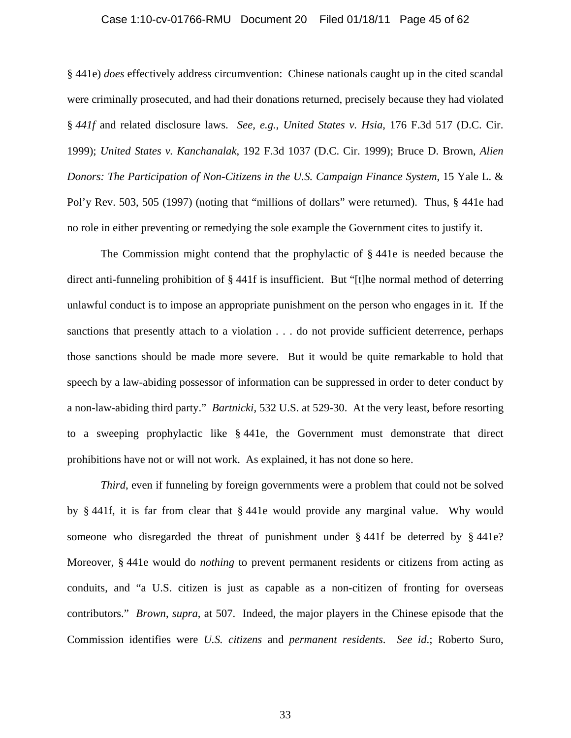#### Case 1:10-cv-01766-RMU Document 20 Filed 01/18/11 Page 45 of 62

§ 441e) *does* effectively address circumvention: Chinese nationals caught up in the cited scandal were criminally prosecuted, and had their donations returned, precisely because they had violated § *441f* and related disclosure laws. *See, e.g.*, *United States v. Hsia*, 176 F.3d 517 (D.C. Cir. 1999); *United States v. Kanchanalak*, 192 F.3d 1037 (D.C. Cir. 1999); Bruce D. Brown, *Alien Donors: The Participation of Non-Citizens in the U.S. Campaign Finance System*, 15 Yale L. & Pol'y Rev. 503, 505 (1997) (noting that "millions of dollars" were returned). Thus, § 441e had no role in either preventing or remedying the sole example the Government cites to justify it.

The Commission might contend that the prophylactic of § 441e is needed because the direct anti-funneling prohibition of § 441f is insufficient. But "[t]he normal method of deterring unlawful conduct is to impose an appropriate punishment on the person who engages in it. If the sanctions that presently attach to a violation . . . do not provide sufficient deterrence, perhaps those sanctions should be made more severe. But it would be quite remarkable to hold that speech by a law-abiding possessor of information can be suppressed in order to deter conduct by a non-law-abiding third party." *Bartnicki*, 532 U.S. at 529-30. At the very least, before resorting to a sweeping prophylactic like § 441e, the Government must demonstrate that direct prohibitions have not or will not work. As explained, it has not done so here.

*Third*, even if funneling by foreign governments were a problem that could not be solved by § 441f, it is far from clear that § 441e would provide any marginal value. Why would someone who disregarded the threat of punishment under § 441f be deterred by § 441e? Moreover, § 441e would do *nothing* to prevent permanent residents or citizens from acting as conduits, and "a U.S. citizen is just as capable as a non-citizen of fronting for overseas contributors." *Brown*, *supra*, at 507. Indeed, the major players in the Chinese episode that the Commission identifies were *U.S. citizens* and *permanent residents*. *See id*.; Roberto Suro,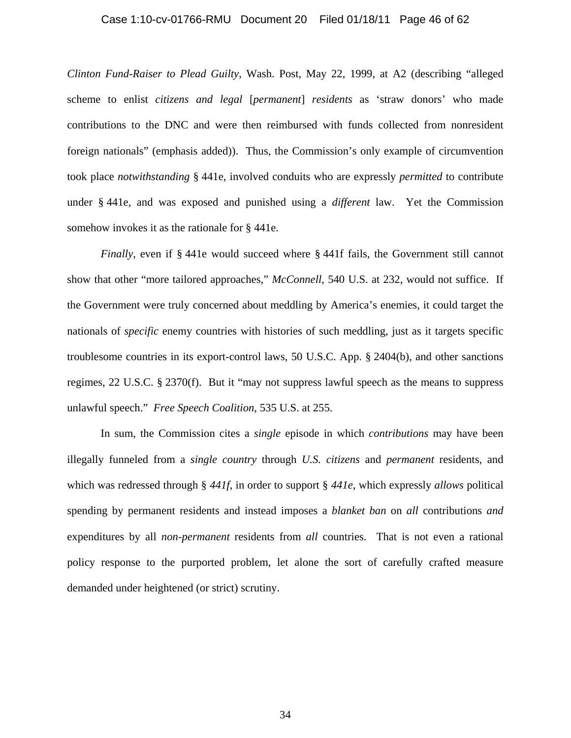#### Case 1:10-cv-01766-RMU Document 20 Filed 01/18/11 Page 46 of 62

*Clinton Fund-Raiser to Plead Guilty*, Wash. Post, May 22, 1999, at A2 (describing "alleged scheme to enlist *citizens and legal* [*permanent*] *residents* as 'straw donors' who made contributions to the DNC and were then reimbursed with funds collected from nonresident foreign nationals" (emphasis added)). Thus, the Commission's only example of circumvention took place *notwithstanding* § 441e, involved conduits who are expressly *permitted* to contribute under § 441e, and was exposed and punished using a *different* law. Yet the Commission somehow invokes it as the rationale for § 441e.

*Finally*, even if § 441e would succeed where § 441f fails, the Government still cannot show that other "more tailored approaches," *McConnell*, 540 U.S. at 232, would not suffice. If the Government were truly concerned about meddling by America's enemies, it could target the nationals of *specific* enemy countries with histories of such meddling, just as it targets specific troublesome countries in its export-control laws, 50 U.S.C. App. § 2404(b), and other sanctions regimes, 22 U.S.C. § 2370(f). But it "may not suppress lawful speech as the means to suppress unlawful speech." *Free Speech Coalition*, 535 U.S. at 255.

In sum, the Commission cites a *single* episode in which *contributions* may have been illegally funneled from a *single country* through *U.S. citizens* and *permanent* residents, and which was redressed through § *441f*, in order to support § *441e*, which expressly *allows* political spending by permanent residents and instead imposes a *blanket ban* on *all* contributions *and* expenditures by all *non-permanent* residents from *all* countries. That is not even a rational policy response to the purported problem, let alone the sort of carefully crafted measure demanded under heightened (or strict) scrutiny.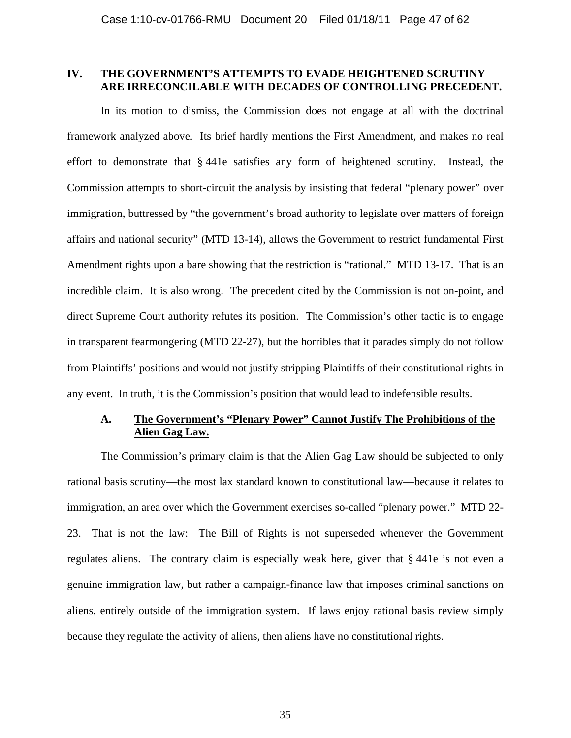## **IV. THE GOVERNMENT'S ATTEMPTS TO EVADE HEIGHTENED SCRUTINY ARE IRRECONCILABLE WITH DECADES OF CONTROLLING PRECEDENT.**

In its motion to dismiss, the Commission does not engage at all with the doctrinal framework analyzed above. Its brief hardly mentions the First Amendment, and makes no real effort to demonstrate that § 441e satisfies any form of heightened scrutiny. Instead, the Commission attempts to short-circuit the analysis by insisting that federal "plenary power" over immigration, buttressed by "the government's broad authority to legislate over matters of foreign affairs and national security" (MTD 13-14), allows the Government to restrict fundamental First Amendment rights upon a bare showing that the restriction is "rational." MTD 13-17. That is an incredible claim. It is also wrong. The precedent cited by the Commission is not on-point, and direct Supreme Court authority refutes its position. The Commission's other tactic is to engage in transparent fearmongering (MTD 22-27), but the horribles that it parades simply do not follow from Plaintiffs' positions and would not justify stripping Plaintiffs of their constitutional rights in any event. In truth, it is the Commission's position that would lead to indefensible results.

# **A. The Government's "Plenary Power" Cannot Justify The Prohibitions of the Alien Gag Law.**

The Commission's primary claim is that the Alien Gag Law should be subjected to only rational basis scrutiny—the most lax standard known to constitutional law—because it relates to immigration, an area over which the Government exercises so-called "plenary power." MTD 22- 23. That is not the law: The Bill of Rights is not superseded whenever the Government regulates aliens. The contrary claim is especially weak here, given that § 441e is not even a genuine immigration law, but rather a campaign-finance law that imposes criminal sanctions on aliens, entirely outside of the immigration system. If laws enjoy rational basis review simply because they regulate the activity of aliens, then aliens have no constitutional rights.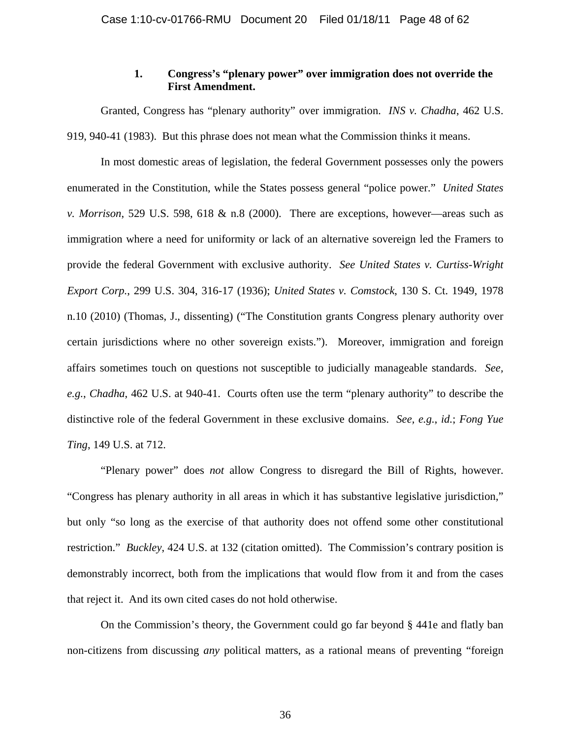# **1. Congress's "plenary power" over immigration does not override the First Amendment.**

Granted, Congress has "plenary authority" over immigration. *INS v. Chadha*, 462 U.S. 919, 940-41 (1983). But this phrase does not mean what the Commission thinks it means.

In most domestic areas of legislation, the federal Government possesses only the powers enumerated in the Constitution, while the States possess general "police power." *United States v. Morrison*, 529 U.S. 598, 618 & n.8 (2000). There are exceptions, however—areas such as immigration where a need for uniformity or lack of an alternative sovereign led the Framers to provide the federal Government with exclusive authority. *See United States v. Curtiss-Wright Export Corp.*, 299 U.S. 304, 316-17 (1936); *United States v. Comstock*, 130 S. Ct. 1949, 1978 n.10 (2010) (Thomas, J., dissenting) ("The Constitution grants Congress plenary authority over certain jurisdictions where no other sovereign exists."). Moreover, immigration and foreign affairs sometimes touch on questions not susceptible to judicially manageable standards. *See, e.g.*, *Chadha*, 462 U.S. at 940-41. Courts often use the term "plenary authority" to describe the distinctive role of the federal Government in these exclusive domains. *See, e.g.*, *id.*; *Fong Yue Ting*, 149 U.S. at 712.

"Plenary power" does *not* allow Congress to disregard the Bill of Rights, however. "Congress has plenary authority in all areas in which it has substantive legislative jurisdiction," but only "so long as the exercise of that authority does not offend some other constitutional restriction." *Buckley*, 424 U.S. at 132 (citation omitted). The Commission's contrary position is demonstrably incorrect, both from the implications that would flow from it and from the cases that reject it. And its own cited cases do not hold otherwise.

On the Commission's theory, the Government could go far beyond § 441e and flatly ban non-citizens from discussing *any* political matters, as a rational means of preventing "foreign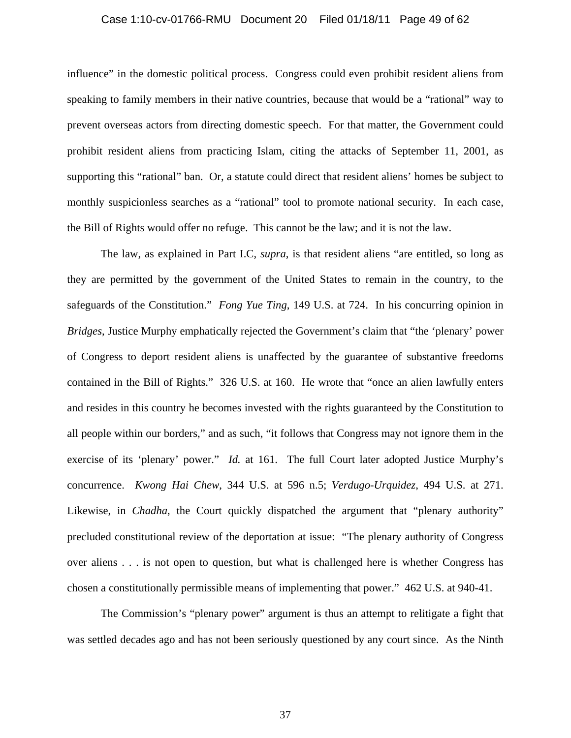#### Case 1:10-cv-01766-RMU Document 20 Filed 01/18/11 Page 49 of 62

influence" in the domestic political process. Congress could even prohibit resident aliens from speaking to family members in their native countries, because that would be a "rational" way to prevent overseas actors from directing domestic speech. For that matter, the Government could prohibit resident aliens from practicing Islam, citing the attacks of September 11, 2001, as supporting this "rational" ban. Or, a statute could direct that resident aliens' homes be subject to monthly suspicionless searches as a "rational" tool to promote national security. In each case, the Bill of Rights would offer no refuge. This cannot be the law; and it is not the law.

The law, as explained in Part I.C, *supra*, is that resident aliens "are entitled, so long as they are permitted by the government of the United States to remain in the country, to the safeguards of the Constitution." *Fong Yue Ting*, 149 U.S. at 724. In his concurring opinion in *Bridges*, Justice Murphy emphatically rejected the Government's claim that "the 'plenary' power of Congress to deport resident aliens is unaffected by the guarantee of substantive freedoms contained in the Bill of Rights." 326 U.S. at 160. He wrote that "once an alien lawfully enters and resides in this country he becomes invested with the rights guaranteed by the Constitution to all people within our borders," and as such, "it follows that Congress may not ignore them in the exercise of its 'plenary' power." *Id.* at 161. The full Court later adopted Justice Murphy's concurrence. *Kwong Hai Chew*, 344 U.S. at 596 n.5; *Verdugo-Urquidez*, 494 U.S. at 271. Likewise, in *Chadha*, the Court quickly dispatched the argument that "plenary authority" precluded constitutional review of the deportation at issue: "The plenary authority of Congress over aliens . . . is not open to question, but what is challenged here is whether Congress has chosen a constitutionally permissible means of implementing that power." 462 U.S. at 940-41.

The Commission's "plenary power" argument is thus an attempt to relitigate a fight that was settled decades ago and has not been seriously questioned by any court since. As the Ninth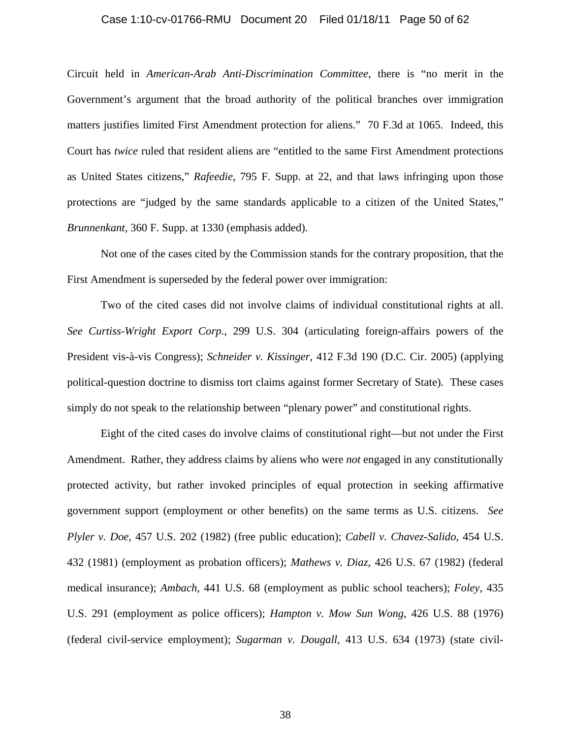#### Case 1:10-cv-01766-RMU Document 20 Filed 01/18/11 Page 50 of 62

Circuit held in *American-Arab Anti-Discrimination Committee*, there is "no merit in the Government's argument that the broad authority of the political branches over immigration matters justifies limited First Amendment protection for aliens." 70 F.3d at 1065. Indeed, this Court has *twice* ruled that resident aliens are "entitled to the same First Amendment protections as United States citizens," *Rafeedie*, 795 F. Supp. at 22, and that laws infringing upon those protections are "judged by the same standards applicable to a citizen of the United States," *Brunnenkant*, 360 F. Supp. at 1330 (emphasis added).

Not one of the cases cited by the Commission stands for the contrary proposition, that the First Amendment is superseded by the federal power over immigration:

Two of the cited cases did not involve claims of individual constitutional rights at all. *See Curtiss-Wright Export Corp.*, 299 U.S. 304 (articulating foreign-affairs powers of the President vis-à-vis Congress); *Schneider v. Kissinger*, 412 F.3d 190 (D.C. Cir. 2005) (applying political-question doctrine to dismiss tort claims against former Secretary of State). These cases simply do not speak to the relationship between "plenary power" and constitutional rights.

Eight of the cited cases do involve claims of constitutional right—but not under the First Amendment. Rather, they address claims by aliens who were *not* engaged in any constitutionally protected activity, but rather invoked principles of equal protection in seeking affirmative government support (employment or other benefits) on the same terms as U.S. citizens. *See Plyler v. Doe*, 457 U.S. 202 (1982) (free public education); *Cabell v. Chavez-Salido*, 454 U.S. 432 (1981) (employment as probation officers); *Mathews v. Diaz*, 426 U.S. 67 (1982) (federal medical insurance); *Ambach*, 441 U.S. 68 (employment as public school teachers); *Foley*, 435 U.S. 291 (employment as police officers); *Hampton v. Mow Sun Wong*, 426 U.S. 88 (1976) (federal civil-service employment); *Sugarman v. Dougall*, 413 U.S. 634 (1973) (state civil-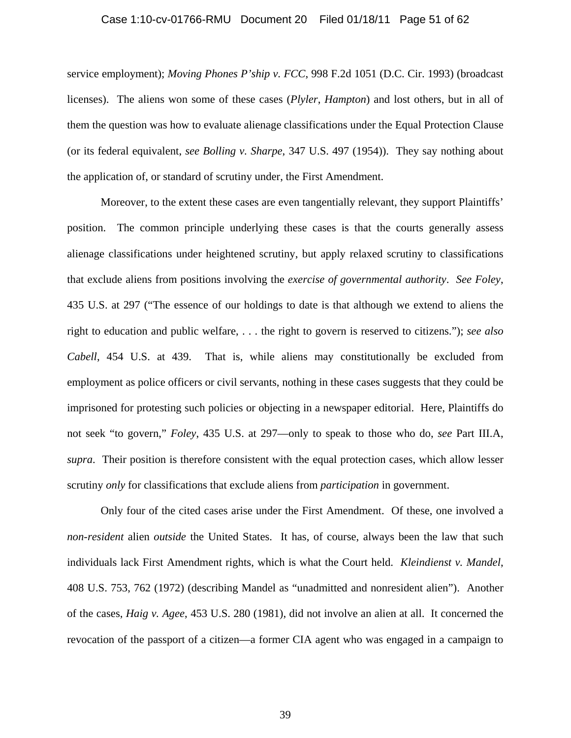#### Case 1:10-cv-01766-RMU Document 20 Filed 01/18/11 Page 51 of 62

service employment); *Moving Phones P'ship v. FCC*, 998 F.2d 1051 (D.C. Cir. 1993) (broadcast licenses). The aliens won some of these cases (*Plyler*, *Hampton*) and lost others, but in all of them the question was how to evaluate alienage classifications under the Equal Protection Clause (or its federal equivalent, *see Bolling v. Sharpe*, 347 U.S. 497 (1954)). They say nothing about the application of, or standard of scrutiny under, the First Amendment.

Moreover, to the extent these cases are even tangentially relevant, they support Plaintiffs' position. The common principle underlying these cases is that the courts generally assess alienage classifications under heightened scrutiny, but apply relaxed scrutiny to classifications that exclude aliens from positions involving the *exercise of governmental authority*. *See Foley*, 435 U.S. at 297 ("The essence of our holdings to date is that although we extend to aliens the right to education and public welfare, . . . the right to govern is reserved to citizens."); *see also Cabell*, 454 U.S. at 439. That is, while aliens may constitutionally be excluded from employment as police officers or civil servants, nothing in these cases suggests that they could be imprisoned for protesting such policies or objecting in a newspaper editorial. Here, Plaintiffs do not seek "to govern," *Foley*, 435 U.S. at 297—only to speak to those who do, *see* Part III.A, *supra*. Their position is therefore consistent with the equal protection cases, which allow lesser scrutiny *only* for classifications that exclude aliens from *participation* in government.

Only four of the cited cases arise under the First Amendment. Of these, one involved a *non-resident* alien *outside* the United States. It has, of course, always been the law that such individuals lack First Amendment rights, which is what the Court held. *Kleindienst v. Mandel*, 408 U.S. 753, 762 (1972) (describing Mandel as "unadmitted and nonresident alien"). Another of the cases, *Haig v. Agee*, 453 U.S. 280 (1981), did not involve an alien at all. It concerned the revocation of the passport of a citizen—a former CIA agent who was engaged in a campaign to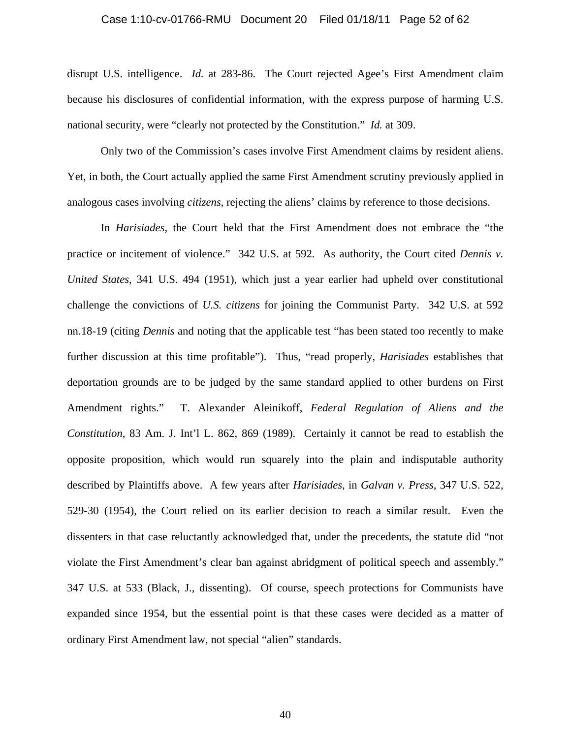#### Case 1:10-cv-01766-RMU Document 20 Filed 01/18/11 Page 52 of 62

disrupt U.S. intelligence. *Id.* at 283-86. The Court rejected Agee's First Amendment claim because his disclosures of confidential information, with the express purpose of harming U.S. national security, were "clearly not protected by the Constitution." *Id.* at 309.

Only two of the Commission's cases involve First Amendment claims by resident aliens. Yet, in both, the Court actually applied the same First Amendment scrutiny previously applied in analogous cases involving *citizens*, rejecting the aliens' claims by reference to those decisions.

In *Harisiades*, the Court held that the First Amendment does not embrace the "the practice or incitement of violence." 342 U.S. at 592. As authority, the Court cited *Dennis v*. *United States*, 341 U.S. 494 (1951), which just a year earlier had upheld over constitutional challenge the convictions of *U.S. citizens* for joining the Communist Party. 342 U.S. at 592 nn.18-19 (citing *Dennis* and noting that the applicable test "has been stated too recently to make further discussion at this time profitable"). Thus, "read properly, *Harisiades* establishes that deportation grounds are to be judged by the same standard applied to other burdens on First Amendment rights." T. Alexander Aleinikoff, *Federal Regulation of Aliens and the Constitution*, 83 Am. J. Int'l L. 862, 869 (1989). Certainly it cannot be read to establish the opposite proposition, which would run squarely into the plain and indisputable authority described by Plaintiffs above. A few years after *Harisiades*, in *Galvan v. Press*, 347 U.S. 522, 529-30 (1954), the Court relied on its earlier decision to reach a similar result. Even the dissenters in that case reluctantly acknowledged that, under the precedents, the statute did "not violate the First Amendment's clear ban against abridgment of political speech and assembly." 347 U.S. at 533 (Black, J., dissenting). Of course, speech protections for Communists have expanded since 1954, but the essential point is that these cases were decided as a matter of ordinary First Amendment law, not special "alien" standards.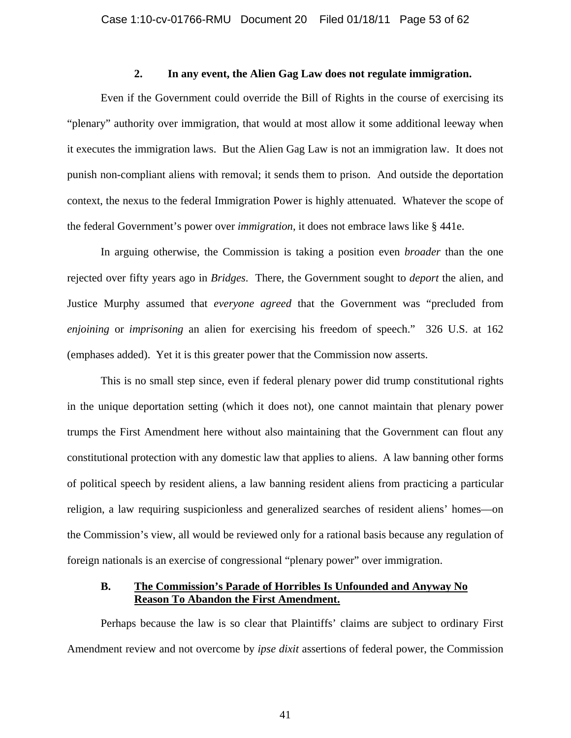### **2. In any event, the Alien Gag Law does not regulate immigration.**

Even if the Government could override the Bill of Rights in the course of exercising its "plenary" authority over immigration, that would at most allow it some additional leeway when it executes the immigration laws. But the Alien Gag Law is not an immigration law. It does not punish non-compliant aliens with removal; it sends them to prison. And outside the deportation context, the nexus to the federal Immigration Power is highly attenuated. Whatever the scope of the federal Government's power over *immigration*, it does not embrace laws like § 441e.

In arguing otherwise, the Commission is taking a position even *broader* than the one rejected over fifty years ago in *Bridges*. There, the Government sought to *deport* the alien, and Justice Murphy assumed that *everyone agreed* that the Government was "precluded from *enjoining* or *imprisoning* an alien for exercising his freedom of speech." 326 U.S. at 162 (emphases added). Yet it is this greater power that the Commission now asserts.

This is no small step since, even if federal plenary power did trump constitutional rights in the unique deportation setting (which it does not), one cannot maintain that plenary power trumps the First Amendment here without also maintaining that the Government can flout any constitutional protection with any domestic law that applies to aliens. A law banning other forms of political speech by resident aliens, a law banning resident aliens from practicing a particular religion, a law requiring suspicionless and generalized searches of resident aliens' homes—on the Commission's view, all would be reviewed only for a rational basis because any regulation of foreign nationals is an exercise of congressional "plenary power" over immigration.

# **B. The Commission's Parade of Horribles Is Unfounded and Anyway No Reason To Abandon the First Amendment.**

 Perhaps because the law is so clear that Plaintiffs' claims are subject to ordinary First Amendment review and not overcome by *ipse dixit* assertions of federal power, the Commission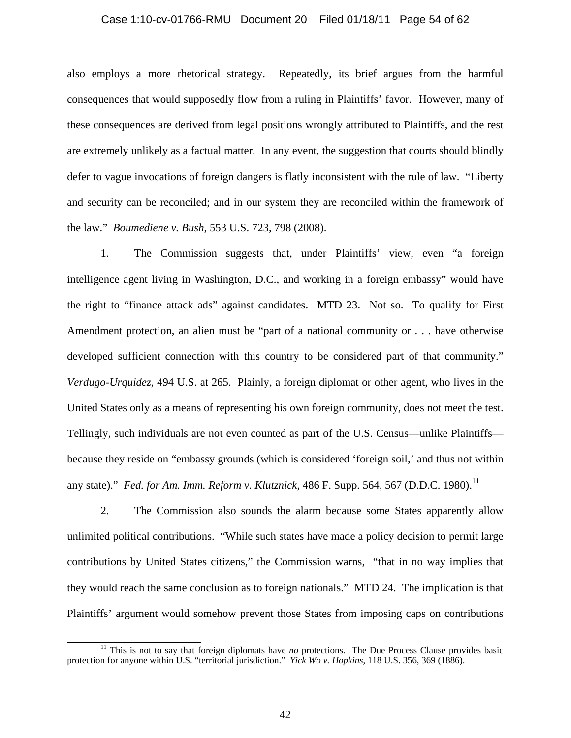#### Case 1:10-cv-01766-RMU Document 20 Filed 01/18/11 Page 54 of 62

also employs a more rhetorical strategy. Repeatedly, its brief argues from the harmful consequences that would supposedly flow from a ruling in Plaintiffs' favor. However, many of these consequences are derived from legal positions wrongly attributed to Plaintiffs, and the rest are extremely unlikely as a factual matter. In any event, the suggestion that courts should blindly defer to vague invocations of foreign dangers is flatly inconsistent with the rule of law. "Liberty and security can be reconciled; and in our system they are reconciled within the framework of the law." *Boumediene v. Bush*, 553 U.S. 723, 798 (2008).

 1. The Commission suggests that, under Plaintiffs' view, even "a foreign intelligence agent living in Washington, D.C., and working in a foreign embassy" would have the right to "finance attack ads" against candidates. MTD 23. Not so. To qualify for First Amendment protection, an alien must be "part of a national community or . . . have otherwise developed sufficient connection with this country to be considered part of that community." *Verdugo-Urquidez*, 494 U.S. at 265. Plainly, a foreign diplomat or other agent, who lives in the United States only as a means of representing his own foreign community, does not meet the test. Tellingly, such individuals are not even counted as part of the U.S. Census—unlike Plaintiffs because they reside on "embassy grounds (which is considered 'foreign soil,' and thus not within any state)." *Fed. for Am. Imm. Reform v. Klutznick*, 486 F. Supp. 564, 567 (D.D.C. 1980).<sup>11</sup>

 2. The Commission also sounds the alarm because some States apparently allow unlimited political contributions. "While such states have made a policy decision to permit large contributions by United States citizens," the Commission warns, "that in no way implies that they would reach the same conclusion as to foreign nationals." MTD 24. The implication is that Plaintiffs' argument would somehow prevent those States from imposing caps on contributions

<sup>&</sup>lt;sup>11</sup> This is not to say that foreign diplomats have *no* protections. The Due Process Clause provides basic protection for anyone within U.S. "territorial jurisdiction." *Yick Wo v. Hopkins*, 118 U.S. 356, 369 (1886).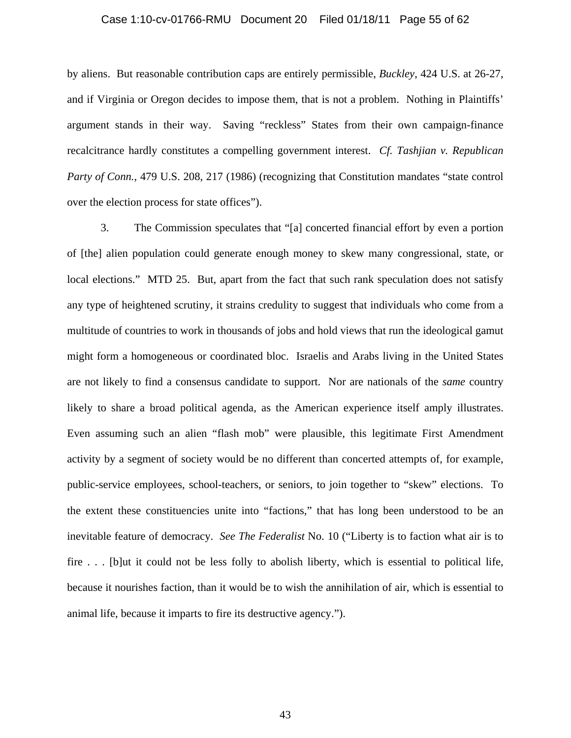#### Case 1:10-cv-01766-RMU Document 20 Filed 01/18/11 Page 55 of 62

by aliens. But reasonable contribution caps are entirely permissible, *Buckley*, 424 U.S. at 26-27, and if Virginia or Oregon decides to impose them, that is not a problem. Nothing in Plaintiffs' argument stands in their way. Saving "reckless" States from their own campaign-finance recalcitrance hardly constitutes a compelling government interest. *Cf. Tashjian v. Republican Party of Conn.*, 479 U.S. 208, 217 (1986) (recognizing that Constitution mandates "state control over the election process for state offices").

 3. The Commission speculates that "[a] concerted financial effort by even a portion of [the] alien population could generate enough money to skew many congressional, state, or local elections." MTD 25. But, apart from the fact that such rank speculation does not satisfy any type of heightened scrutiny, it strains credulity to suggest that individuals who come from a multitude of countries to work in thousands of jobs and hold views that run the ideological gamut might form a homogeneous or coordinated bloc. Israelis and Arabs living in the United States are not likely to find a consensus candidate to support. Nor are nationals of the *same* country likely to share a broad political agenda, as the American experience itself amply illustrates. Even assuming such an alien "flash mob" were plausible, this legitimate First Amendment activity by a segment of society would be no different than concerted attempts of, for example, public-service employees, school-teachers, or seniors, to join together to "skew" elections. To the extent these constituencies unite into "factions," that has long been understood to be an inevitable feature of democracy. *See The Federalist* No. 10 ("Liberty is to faction what air is to fire . . . [b]ut it could not be less folly to abolish liberty, which is essential to political life, because it nourishes faction, than it would be to wish the annihilation of air, which is essential to animal life, because it imparts to fire its destructive agency.").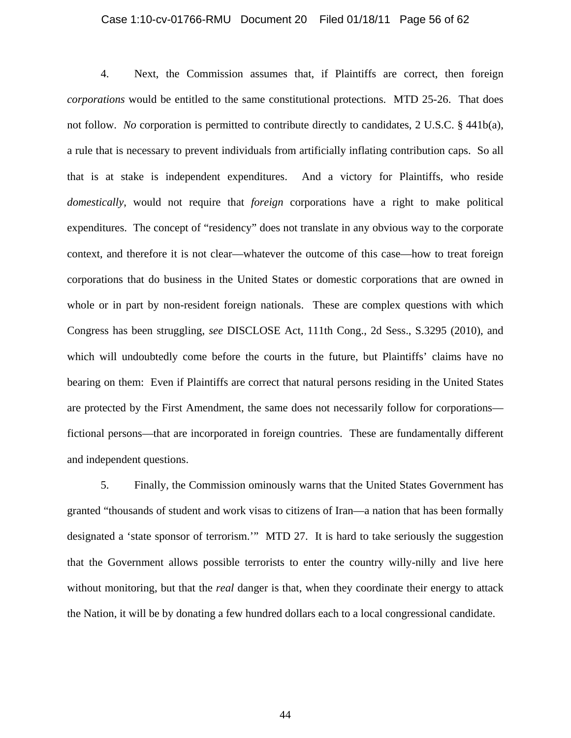#### Case 1:10-cv-01766-RMU Document 20 Filed 01/18/11 Page 56 of 62

 4. Next, the Commission assumes that, if Plaintiffs are correct, then foreign *corporations* would be entitled to the same constitutional protections. MTD 25-26. That does not follow. *No* corporation is permitted to contribute directly to candidates, 2 U.S.C. § 441b(a), a rule that is necessary to prevent individuals from artificially inflating contribution caps. So all that is at stake is independent expenditures. And a victory for Plaintiffs, who reside *domestically*, would not require that *foreign* corporations have a right to make political expenditures. The concept of "residency" does not translate in any obvious way to the corporate context, and therefore it is not clear—whatever the outcome of this case—how to treat foreign corporations that do business in the United States or domestic corporations that are owned in whole or in part by non-resident foreign nationals. These are complex questions with which Congress has been struggling, *see* DISCLOSE Act, 111th Cong., 2d Sess., S.3295 (2010), and which will undoubtedly come before the courts in the future, but Plaintiffs' claims have no bearing on them: Even if Plaintiffs are correct that natural persons residing in the United States are protected by the First Amendment, the same does not necessarily follow for corporations fictional persons—that are incorporated in foreign countries. These are fundamentally different and independent questions.

5. Finally, the Commission ominously warns that the United States Government has granted "thousands of student and work visas to citizens of Iran—a nation that has been formally designated a 'state sponsor of terrorism.'" MTD 27. It is hard to take seriously the suggestion that the Government allows possible terrorists to enter the country willy-nilly and live here without monitoring, but that the *real* danger is that, when they coordinate their energy to attack the Nation, it will be by donating a few hundred dollars each to a local congressional candidate.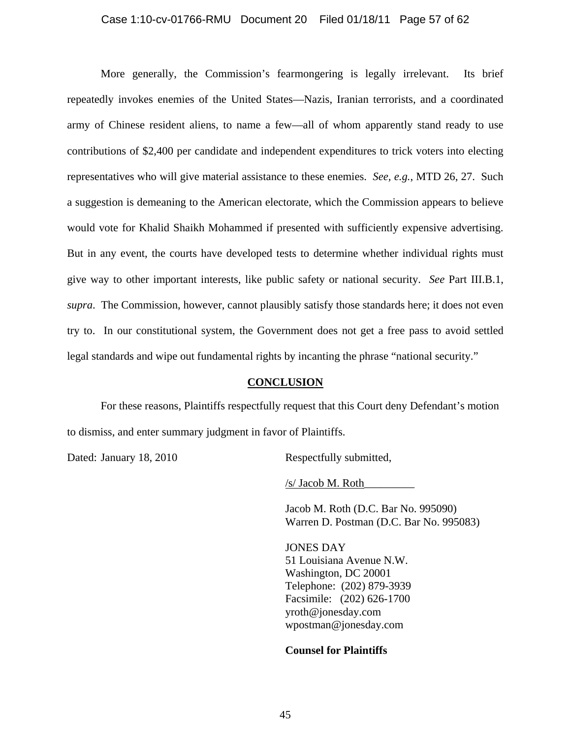#### Case 1:10-cv-01766-RMU Document 20 Filed 01/18/11 Page 57 of 62

More generally, the Commission's fearmongering is legally irrelevant. Its brief repeatedly invokes enemies of the United States—Nazis, Iranian terrorists, and a coordinated army of Chinese resident aliens, to name a few—all of whom apparently stand ready to use contributions of \$2,400 per candidate and independent expenditures to trick voters into electing representatives who will give material assistance to these enemies. *See, e.g.*, MTD 26, 27. Such a suggestion is demeaning to the American electorate, which the Commission appears to believe would vote for Khalid Shaikh Mohammed if presented with sufficiently expensive advertising. But in any event, the courts have developed tests to determine whether individual rights must give way to other important interests, like public safety or national security. *See* Part III.B.1, *supra*. The Commission, however, cannot plausibly satisfy those standards here; it does not even try to. In our constitutional system, the Government does not get a free pass to avoid settled legal standards and wipe out fundamental rights by incanting the phrase "national security."

#### **CONCLUSION**

For these reasons, Plaintiffs respectfully request that this Court deny Defendant's motion to dismiss, and enter summary judgment in favor of Plaintiffs.

Dated: January 18, 2010 Respectfully submitted,

/s/ Jacob M. Roth\_\_\_\_\_\_\_\_\_

Jacob M. Roth (D.C. Bar No. 995090) Warren D. Postman (D.C. Bar No. 995083)

JONES DAY 51 Louisiana Avenue N.W. Washington, DC 20001 Telephone: (202) 879-3939 Facsimile: (202) 626-1700 yroth@jonesday.com wpostman@jonesday.com

#### **Counsel for Plaintiffs**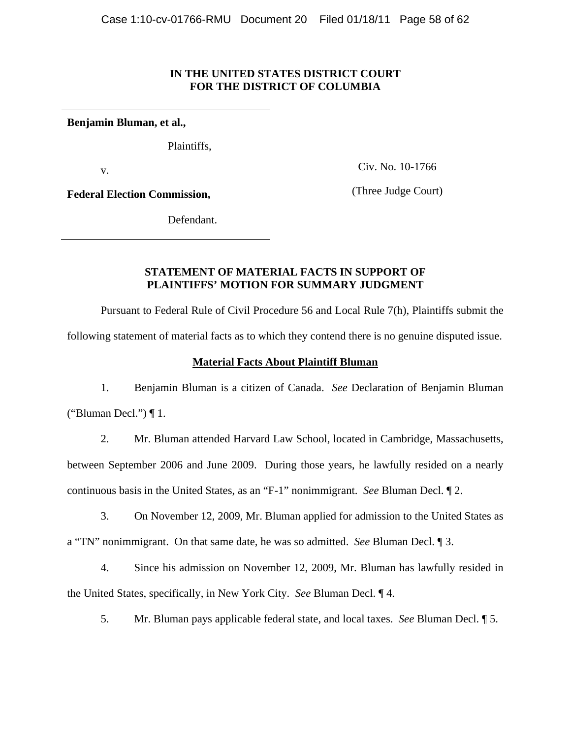# **IN THE UNITED STATES DISTRICT COURT FOR THE DISTRICT OF COLUMBIA**

**Benjamin Bluman, et al.,**

Plaintiffs,

v.

Civ. No. 10-1766

**Federal Election Commission,** 

(Three Judge Court)

Defendant.

# **STATEMENT OF MATERIAL FACTS IN SUPPORT OF PLAINTIFFS' MOTION FOR SUMMARY JUDGMENT**

 Pursuant to Federal Rule of Civil Procedure 56 and Local Rule 7(h), Plaintiffs submit the following statement of material facts as to which they contend there is no genuine disputed issue.

# **Material Facts About Plaintiff Bluman**

 1. Benjamin Bluman is a citizen of Canada. *See* Declaration of Benjamin Bluman ("Bluman Decl.")  $\P$  1.

 2. Mr. Bluman attended Harvard Law School, located in Cambridge, Massachusetts, between September 2006 and June 2009. During those years, he lawfully resided on a nearly continuous basis in the United States, as an "F-1" nonimmigrant. *See* Bluman Decl. ¶ 2.

 3. On November 12, 2009, Mr. Bluman applied for admission to the United States as a "TN" nonimmigrant. On that same date, he was so admitted. *See* Bluman Decl. ¶ 3.

 4. Since his admission on November 12, 2009, Mr. Bluman has lawfully resided in the United States, specifically, in New York City. *See* Bluman Decl. ¶ 4.

5. Mr. Bluman pays applicable federal state, and local taxes. *See* Bluman Decl. ¶ 5.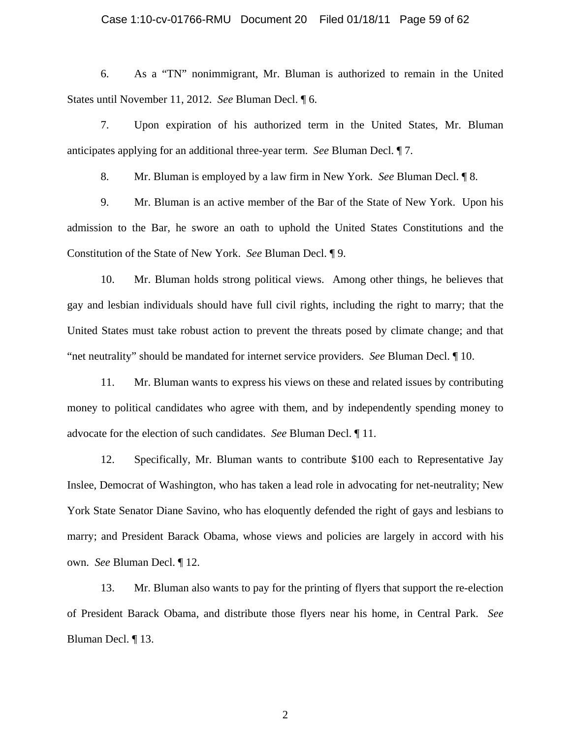#### Case 1:10-cv-01766-RMU Document 20 Filed 01/18/11 Page 59 of 62

 6. As a "TN" nonimmigrant, Mr. Bluman is authorized to remain in the United States until November 11, 2012. *See* Bluman Decl. ¶ 6.

 7. Upon expiration of his authorized term in the United States, Mr. Bluman anticipates applying for an additional three-year term. *See* Bluman Decl. ¶ 7.

8. Mr. Bluman is employed by a law firm in New York. *See* Bluman Decl. ¶ 8.

 9. Mr. Bluman is an active member of the Bar of the State of New York. Upon his admission to the Bar, he swore an oath to uphold the United States Constitutions and the Constitution of the State of New York. *See* Bluman Decl. ¶ 9.

 10. Mr. Bluman holds strong political views. Among other things, he believes that gay and lesbian individuals should have full civil rights, including the right to marry; that the United States must take robust action to prevent the threats posed by climate change; and that "net neutrality" should be mandated for internet service providers. *See* Bluman Decl. ¶ 10.

 11. Mr. Bluman wants to express his views on these and related issues by contributing money to political candidates who agree with them, and by independently spending money to advocate for the election of such candidates. *See* Bluman Decl. ¶ 11.

 12. Specifically, Mr. Bluman wants to contribute \$100 each to Representative Jay Inslee, Democrat of Washington, who has taken a lead role in advocating for net-neutrality; New York State Senator Diane Savino, who has eloquently defended the right of gays and lesbians to marry; and President Barack Obama, whose views and policies are largely in accord with his own. *See* Bluman Decl. ¶ 12.

 13. Mr. Bluman also wants to pay for the printing of flyers that support the re-election of President Barack Obama, and distribute those flyers near his home, in Central Park. *See*  Bluman Decl. ¶ 13.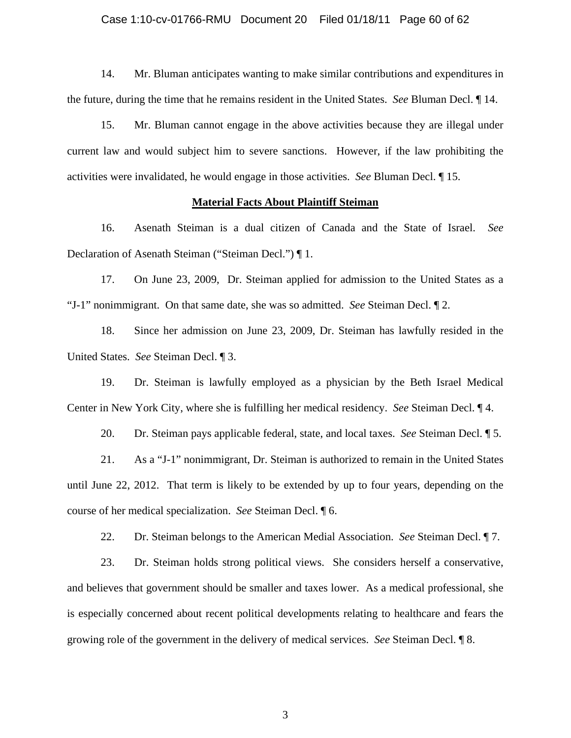#### Case 1:10-cv-01766-RMU Document 20 Filed 01/18/11 Page 60 of 62

 14. Mr. Bluman anticipates wanting to make similar contributions and expenditures in the future, during the time that he remains resident in the United States. *See* Bluman Decl. ¶ 14.

 15. Mr. Bluman cannot engage in the above activities because they are illegal under current law and would subject him to severe sanctions. However, if the law prohibiting the activities were invalidated, he would engage in those activities. *See* Bluman Decl. ¶ 15.

### **Material Facts About Plaintiff Steiman**

 16. Asenath Steiman is a dual citizen of Canada and the State of Israel. *See* Declaration of Asenath Steiman ("Steiman Decl.") ¶ 1.

 17. On June 23, 2009, Dr. Steiman applied for admission to the United States as a "J-1" nonimmigrant. On that same date, she was so admitted. *See* Steiman Decl. ¶ 2.

 18. Since her admission on June 23, 2009, Dr. Steiman has lawfully resided in the United States. *See* Steiman Decl. ¶ 3.

 19. Dr. Steiman is lawfully employed as a physician by the Beth Israel Medical Center in New York City, where she is fulfilling her medical residency. *See* Steiman Decl. ¶ 4.

20. Dr. Steiman pays applicable federal, state, and local taxes. *See* Steiman Decl. ¶ 5.

 21. As a "J-1" nonimmigrant, Dr. Steiman is authorized to remain in the United States until June 22, 2012. That term is likely to be extended by up to four years, depending on the course of her medical specialization. *See* Steiman Decl. ¶ 6.

22. Dr. Steiman belongs to the American Medial Association. *See* Steiman Decl. ¶ 7.

 23. Dr. Steiman holds strong political views. She considers herself a conservative, and believes that government should be smaller and taxes lower. As a medical professional, she is especially concerned about recent political developments relating to healthcare and fears the growing role of the government in the delivery of medical services. *See* Steiman Decl. ¶ 8.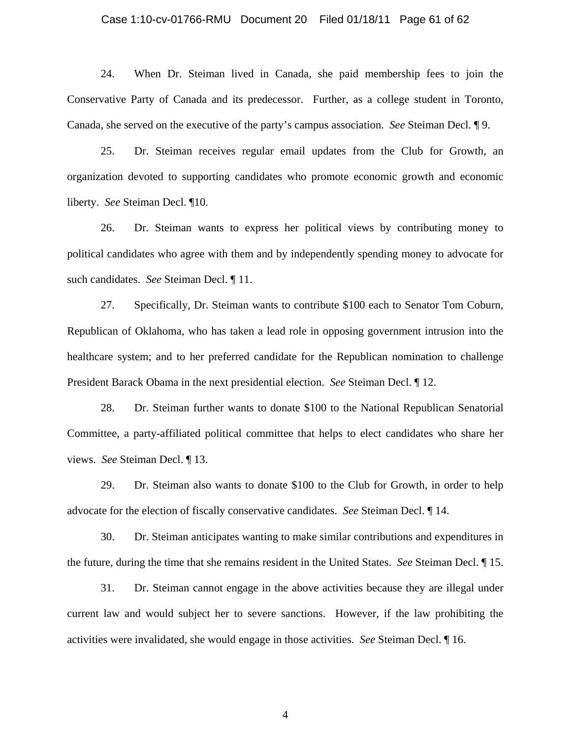#### Case 1:10-cv-01766-RMU Document 20 Filed 01/18/11 Page 61 of 62

 24. When Dr. Steiman lived in Canada, she paid membership fees to join the Conservative Party of Canada and its predecessor. Further, as a college student in Toronto, Canada, she served on the executive of the party's campus association. *See* Steiman Decl. ¶ 9.

 25. Dr. Steiman receives regular email updates from the Club for Growth, an organization devoted to supporting candidates who promote economic growth and economic liberty. *See* Steiman Decl. ¶10.

 26. Dr. Steiman wants to express her political views by contributing money to political candidates who agree with them and by independently spending money to advocate for such candidates. *See* Steiman Decl. ¶ 11.

 27. Specifically, Dr. Steiman wants to contribute \$100 each to Senator Tom Coburn, Republican of Oklahoma, who has taken a lead role in opposing government intrusion into the healthcare system; and to her preferred candidate for the Republican nomination to challenge President Barack Obama in the next presidential election. *See* Steiman Decl. ¶ 12.

 28. Dr. Steiman further wants to donate \$100 to the National Republican Senatorial Committee, a party-affiliated political committee that helps to elect candidates who share her views. *See* Steiman Decl. ¶ 13.

 29. Dr. Steiman also wants to donate \$100 to the Club for Growth, in order to help advocate for the election of fiscally conservative candidates. *See* Steiman Decl. ¶ 14.

 30. Dr. Steiman anticipates wanting to make similar contributions and expenditures in the future, during the time that she remains resident in the United States. *See* Steiman Decl. ¶ 15.

 31. Dr. Steiman cannot engage in the above activities because they are illegal under current law and would subject her to severe sanctions. However, if the law prohibiting the activities were invalidated, she would engage in those activities. *See* Steiman Decl. ¶ 16.